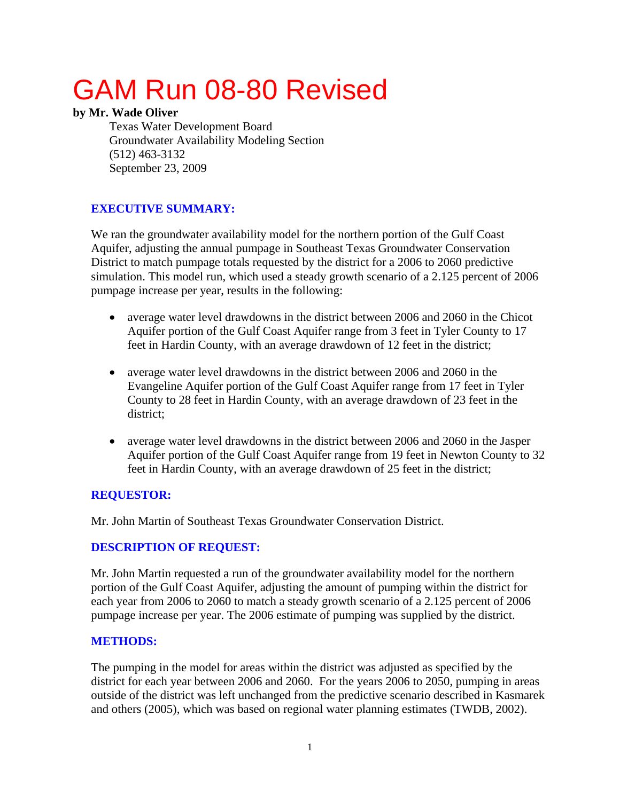# GAM Run 08-80 Revised

#### **by Mr. Wade Oliver**

Texas Water Development Board Groundwater Availability Modeling Section (512) 463-3132 September 23, 2009

### **EXECUTIVE SUMMARY:**

We ran the groundwater availability model for the northern portion of the Gulf Coast Aquifer, adjusting the annual pumpage in Southeast Texas Groundwater Conservation District to match pumpage totals requested by the district for a 2006 to 2060 predictive simulation. This model run, which used a steady growth scenario of a 2.125 percent of 2006 pumpage increase per year, results in the following:

- average water level drawdowns in the district between 2006 and 2060 in the Chicot Aquifer portion of the Gulf Coast Aquifer range from 3 feet in Tyler County to 17 feet in Hardin County, with an average drawdown of 12 feet in the district;
- average water level drawdowns in the district between 2006 and 2060 in the Evangeline Aquifer portion of the Gulf Coast Aquifer range from 17 feet in Tyler County to 28 feet in Hardin County, with an average drawdown of 23 feet in the district;
- average water level drawdowns in the district between 2006 and 2060 in the Jasper Aquifer portion of the Gulf Coast Aquifer range from 19 feet in Newton County to 32 feet in Hardin County, with an average drawdown of 25 feet in the district;

#### **REQUESTOR:**

Mr. John Martin of Southeast Texas Groundwater Conservation District.

#### **DESCRIPTION OF REQUEST:**

Mr. John Martin requested a run of the groundwater availability model for the northern portion of the Gulf Coast Aquifer, adjusting the amount of pumping within the district for each year from 2006 to 2060 to match a steady growth scenario of a 2.125 percent of 2006 pumpage increase per year. The 2006 estimate of pumping was supplied by the district.

#### **METHODS:**

The pumping in the model for areas within the district was adjusted as specified by the district for each year between 2006 and 2060. For the years 2006 to 2050, pumping in areas outside of the district was left unchanged from the predictive scenario described in Kasmarek and others (2005), which was based on regional water planning estimates (TWDB, 2002).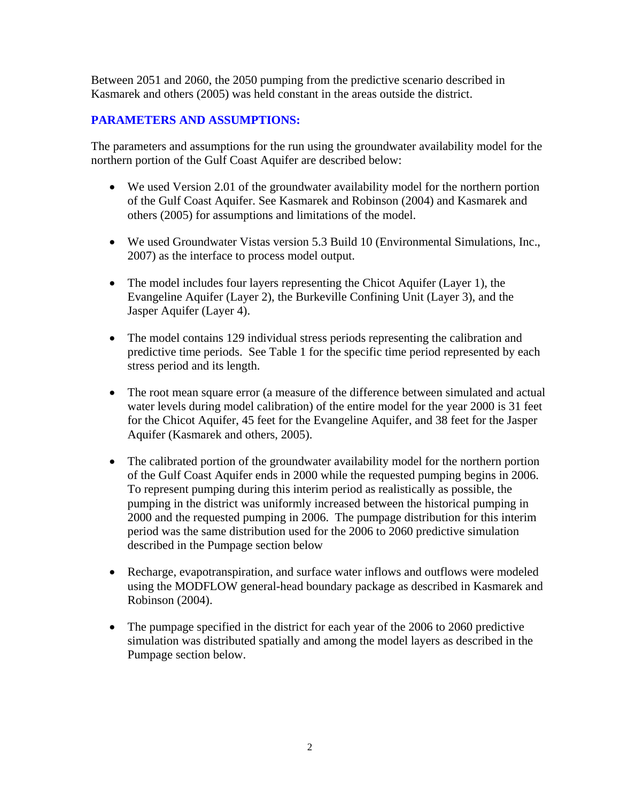Between 2051 and 2060, the 2050 pumping from the predictive scenario described in Kasmarek and others (2005) was held constant in the areas outside the district.

#### **PARAMETERS AND ASSUMPTIONS:**

The parameters and assumptions for the run using the groundwater availability model for the northern portion of the Gulf Coast Aquifer are described below:

- We used Version 2.01 of the groundwater availability model for the northern portion of the Gulf Coast Aquifer. See Kasmarek and Robinson (2004) and Kasmarek and others (2005) for assumptions and limitations of the model.
- We used Groundwater Vistas version 5.3 Build 10 (Environmental Simulations, Inc., 2007) as the interface to process model output.
- The model includes four layers representing the Chicot Aquifer (Layer 1), the Evangeline Aquifer (Layer 2), the Burkeville Confining Unit (Layer 3), and the Jasper Aquifer (Layer 4).
- The model contains 129 individual stress periods representing the calibration and predictive time periods. See Table 1 for the specific time period represented by each stress period and its length.
- The root mean square error (a measure of the difference between simulated and actual water levels during model calibration) of the entire model for the year 2000 is 31 feet for the Chicot Aquifer, 45 feet for the Evangeline Aquifer, and 38 feet for the Jasper Aquifer (Kasmarek and others, 2005).
- The calibrated portion of the groundwater availability model for the northern portion of the Gulf Coast Aquifer ends in 2000 while the requested pumping begins in 2006. To represent pumping during this interim period as realistically as possible, the pumping in the district was uniformly increased between the historical pumping in 2000 and the requested pumping in 2006. The pumpage distribution for this interim period was the same distribution used for the 2006 to 2060 predictive simulation described in the Pumpage section below
- Recharge, evapotranspiration, and surface water inflows and outflows were modeled using the MODFLOW general-head boundary package as described in Kasmarek and Robinson (2004).
- The pumpage specified in the district for each year of the 2006 to 2060 predictive simulation was distributed spatially and among the model layers as described in the Pumpage section below.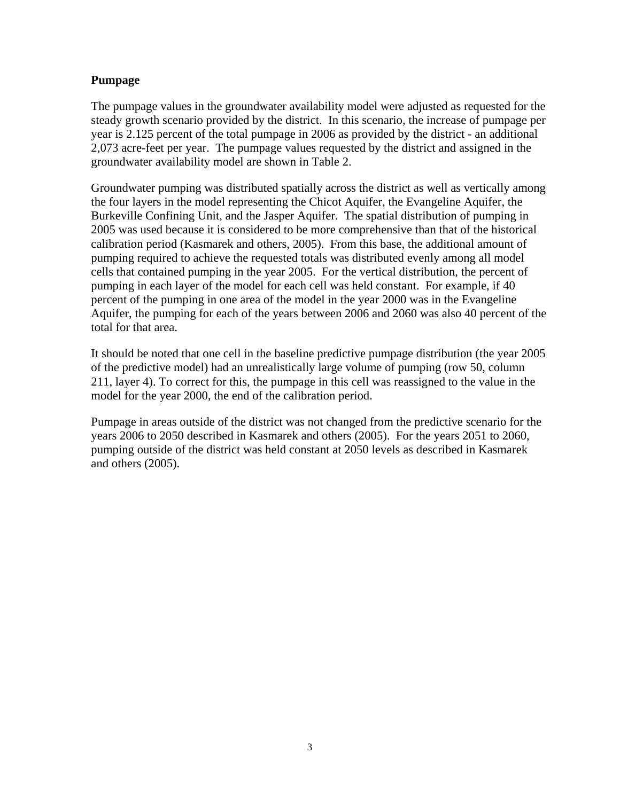#### **Pumpage**

The pumpage values in the groundwater availability model were adjusted as requested for the steady growth scenario provided by the district. In this scenario, the increase of pumpage per year is 2.125 percent of the total pumpage in 2006 as provided by the district - an additional 2,073 acre-feet per year. The pumpage values requested by the district and assigned in the groundwater availability model are shown in Table 2.

Groundwater pumping was distributed spatially across the district as well as vertically among the four layers in the model representing the Chicot Aquifer, the Evangeline Aquifer, the Burkeville Confining Unit, and the Jasper Aquifer. The spatial distribution of pumping in 2005 was used because it is considered to be more comprehensive than that of the historical calibration period (Kasmarek and others, 2005). From this base, the additional amount of pumping required to achieve the requested totals was distributed evenly among all model cells that contained pumping in the year 2005. For the vertical distribution, the percent of pumping in each layer of the model for each cell was held constant. For example, if 40 percent of the pumping in one area of the model in the year 2000 was in the Evangeline Aquifer, the pumping for each of the years between 2006 and 2060 was also 40 percent of the total for that area.

It should be noted that one cell in the baseline predictive pumpage distribution (the year 2005 of the predictive model) had an unrealistically large volume of pumping (row 50, column 211, layer 4). To correct for this, the pumpage in this cell was reassigned to the value in the model for the year 2000, the end of the calibration period.

Pumpage in areas outside of the district was not changed from the predictive scenario for the years 2006 to 2050 described in Kasmarek and others (2005). For the years 2051 to 2060, pumping outside of the district was held constant at 2050 levels as described in Kasmarek and others (2005).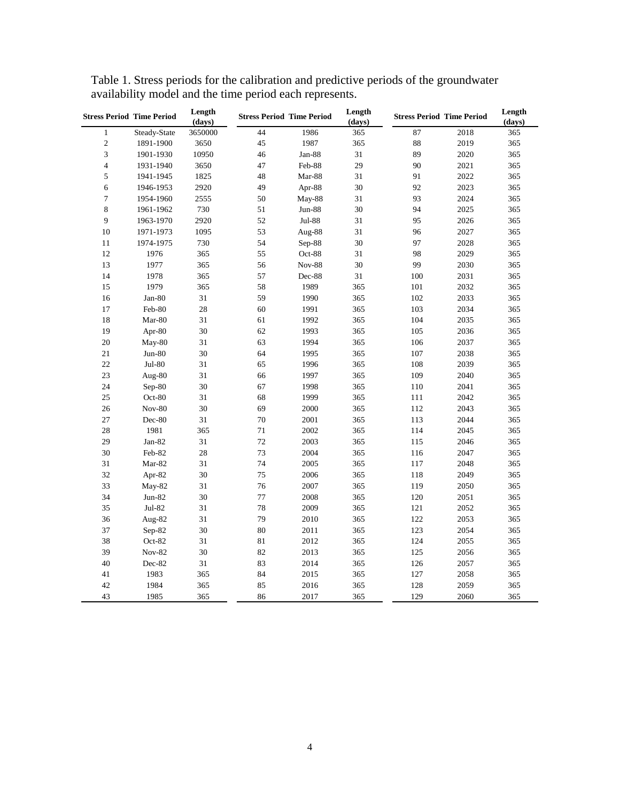|                         | <b>Stress Period Time Period</b> | Length<br>(days) |    | <b>Stress Period Time Period</b> | Length<br>(days) |     | <b>Stress Period Time Period</b> | Length<br>(days) |
|-------------------------|----------------------------------|------------------|----|----------------------------------|------------------|-----|----------------------------------|------------------|
| $\mathbf{1}$            | Steady-State                     | 3650000          | 44 | 1986                             | 365              | 87  | 2018                             | $\overline{365}$ |
| $\overline{c}$          | 1891-1900                        | 3650             | 45 | 1987                             | 365              | 88  | 2019                             | 365              |
| 3                       | 1901-1930                        | 10950            | 46 | Jan-88                           | 31               | 89  | 2020                             | 365              |
| $\overline{\mathbf{4}}$ | 1931-1940                        | 3650             | 47 | Feb-88                           | 29               | 90  | 2021                             | 365              |
| 5                       | 1941-1945                        | 1825             | 48 | Mar-88                           | 31               | 91  | 2022                             | 365              |
| $\sqrt{6}$              | 1946-1953                        | 2920             | 49 | Apr-88                           | 30               | 92  | 2023                             | 365              |
| $\boldsymbol{7}$        | 1954-1960                        | 2555             | 50 | May-88                           | 31               | 93  | 2024                             | 365              |
| $\,8$                   | 1961-1962                        | 730              | 51 | <b>Jun-88</b>                    | 30               | 94  | 2025                             | 365              |
| 9                       | 1963-1970                        | 2920             | 52 | Jul-88                           | 31               | 95  | 2026                             | 365              |
| $10\,$                  | 1971-1973                        | 1095             | 53 | Aug-88                           | 31               | 96  | 2027                             | 365              |
| 11                      | 1974-1975                        | 730              | 54 | Sep-88                           | 30               | 97  | 2028                             | 365              |
| 12                      | 1976                             | 365              | 55 | Oct-88                           | 31               | 98  | 2029                             | 365              |
| 13                      | 1977                             | 365              | 56 | <b>Nov-88</b>                    | 30               | 99  | 2030                             | 365              |
| 14                      | 1978                             | 365              | 57 | Dec-88                           | 31               | 100 | 2031                             | 365              |
| 15                      | 1979                             | 365              | 58 | 1989                             | 365              | 101 | 2032                             | 365              |
| 16                      | $Jan-80$                         | 31               | 59 | 1990                             | 365              | 102 | 2033                             | 365              |
| 17                      | Feb-80                           | 28               | 60 | 1991                             | 365              | 103 | 2034                             | 365              |
| 18                      | Mar-80                           | 31               | 61 | 1992                             | 365              | 104 | 2035                             | 365              |
| 19                      | Apr-80                           | 30               | 62 | 1993                             | 365              | 105 | 2036                             | 365              |
| 20                      | May-80                           | 31               | 63 | 1994                             | 365              | 106 | 2037                             | 365              |
| $21\,$                  | $Jun-80$                         | 30               | 64 | 1995                             | 365              | 107 | 2038                             | 365              |
| $22\,$                  | Jul-80                           | 31               | 65 | 1996                             | 365              | 108 | 2039                             | 365              |
| 23                      | Aug-80                           | 31               | 66 | 1997                             | 365              | 109 | 2040                             | 365              |
| 24                      | $Sep-80$                         | 30               | 67 | 1998                             | 365              | 110 | 2041                             | 365              |
| 25                      | Oct-80                           | 31               | 68 | 1999                             | 365              | 111 | 2042                             | 365              |
| 26                      | <b>Nov-80</b>                    | 30               | 69 | 2000                             | 365              | 112 | 2043                             | 365              |
| 27                      | Dec-80                           | 31               | 70 | 2001                             | 365              | 113 | 2044                             | 365              |
| 28                      | 1981                             | 365              | 71 | 2002                             | 365              | 114 | 2045                             | 365              |
| 29                      | $Jan-82$                         | 31               | 72 | 2003                             | 365              | 115 | 2046                             | 365              |
| 30                      | Feb-82                           | 28               | 73 | 2004                             | 365              | 116 | 2047                             | 365              |
| 31                      | Mar-82                           | 31               | 74 | 2005                             | 365              | 117 | 2048                             | 365              |
| 32                      | Apr-82                           | 30               | 75 | 2006                             | 365              | 118 | 2049                             | 365              |
| 33                      | May-82                           | 31               | 76 | 2007                             | 365              | 119 | 2050                             | 365              |
| 34                      | $Jun-82$                         | 30               | 77 | 2008                             | 365              | 120 | 2051                             | 365              |
| 35                      | $Jul-82$                         | 31               | 78 | 2009                             | 365              | 121 | 2052                             | 365              |
| 36                      | Aug-82                           | 31               | 79 | 2010                             | 365              | 122 | 2053                             | 365              |
| 37                      | Sep-82                           | 30               | 80 | 2011                             | 365              | 123 | 2054                             | 365              |
| 38                      | Oct-82                           | 31               | 81 | 2012                             | 365              | 124 | 2055                             | 365              |
| 39                      | <b>Nov-82</b>                    | 30               | 82 | 2013                             | 365              | 125 | 2056                             | 365              |
| $40\,$                  | Dec-82                           | 31               | 83 | 2014                             | 365              | 126 | 2057                             | 365              |
| 41                      | 1983                             | 365              | 84 | 2015                             | 365              | 127 | 2058                             | 365              |
| 42                      | 1984                             | 365              | 85 | 2016                             | 365              | 128 | 2059                             | 365              |
| 43                      | 1985                             | 365              | 86 | 2017                             | 365              | 129 | 2060                             | 365              |

Table 1. Stress periods for the calibration and predictive periods of the groundwater availability model and the time period each represents.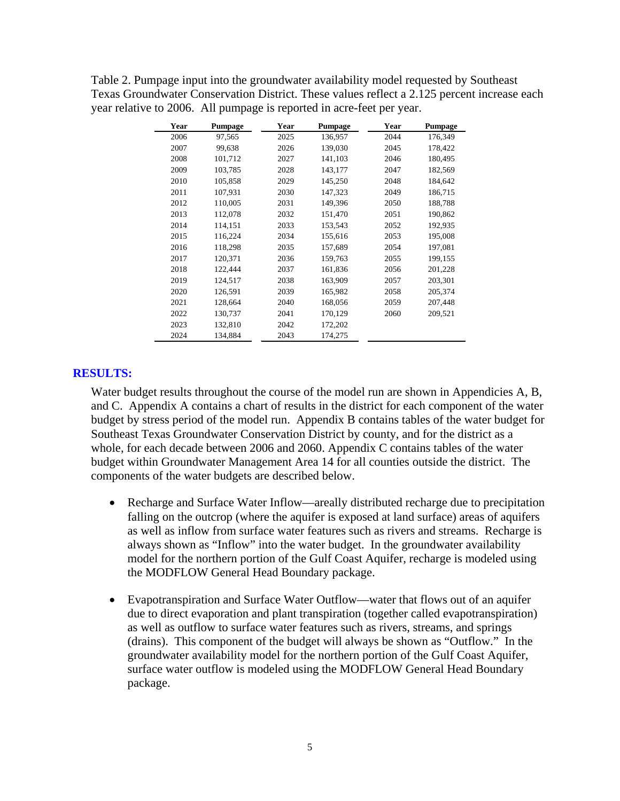| Table 2. Pumpage input into the groundwater availability model requested by Southeast       |
|---------------------------------------------------------------------------------------------|
| Texas Groundwater Conservation District. These values reflect a 2.125 percent increase each |
| year relative to 2006. All pumpage is reported in acre-feet per year.                       |

| Year | Pumpage | Year | Pumpage | Year | Pumpage |
|------|---------|------|---------|------|---------|
| 2006 | 97,565  | 2025 | 136,957 | 2044 | 176,349 |
| 2007 | 99,638  | 2026 | 139,030 | 2045 | 178,422 |
| 2008 | 101,712 | 2027 | 141,103 | 2046 | 180,495 |
| 2009 | 103,785 | 2028 | 143,177 | 2047 | 182,569 |
| 2010 | 105,858 | 2029 | 145,250 | 2048 | 184,642 |
| 2011 | 107,931 | 2030 | 147,323 | 2049 | 186,715 |
| 2012 | 110,005 | 2031 | 149,396 | 2050 | 188,788 |
| 2013 | 112,078 | 2032 | 151,470 | 2051 | 190,862 |
| 2014 | 114,151 | 2033 | 153,543 | 2052 | 192,935 |
| 2015 | 116,224 | 2034 | 155,616 | 2053 | 195,008 |
| 2016 | 118,298 | 2035 | 157,689 | 2054 | 197,081 |
| 2017 | 120,371 | 2036 | 159,763 | 2055 | 199,155 |
| 2018 | 122,444 | 2037 | 161,836 | 2056 | 201,228 |
| 2019 | 124,517 | 2038 | 163,909 | 2057 | 203,301 |
| 2020 | 126,591 | 2039 | 165,982 | 2058 | 205,374 |
| 2021 | 128,664 | 2040 | 168,056 | 2059 | 207,448 |
| 2022 | 130,737 | 2041 | 170,129 | 2060 | 209,521 |
| 2023 | 132,810 | 2042 | 172,202 |      |         |
| 2024 | 134,884 | 2043 | 174,275 |      |         |

#### **RESULTS:**

Water budget results throughout the course of the model run are shown in Appendicies A, B, and C. Appendix A contains a chart of results in the district for each component of the water budget by stress period of the model run. Appendix B contains tables of the water budget for Southeast Texas Groundwater Conservation District by county, and for the district as a whole, for each decade between 2006 and 2060. Appendix C contains tables of the water budget within Groundwater Management Area 14 for all counties outside the district. The components of the water budgets are described below.

- Recharge and Surface Water Inflow—areally distributed recharge due to precipitation falling on the outcrop (where the aquifer is exposed at land surface) areas of aquifers as well as inflow from surface water features such as rivers and streams. Recharge is always shown as "Inflow" into the water budget. In the groundwater availability model for the northern portion of the Gulf Coast Aquifer, recharge is modeled using the MODFLOW General Head Boundary package.
- Evapotranspiration and Surface Water Outflow—water that flows out of an aquifer due to direct evaporation and plant transpiration (together called evapotranspiration) as well as outflow to surface water features such as rivers, streams, and springs (drains). This component of the budget will always be shown as "Outflow." In the groundwater availability model for the northern portion of the Gulf Coast Aquifer, surface water outflow is modeled using the MODFLOW General Head Boundary package.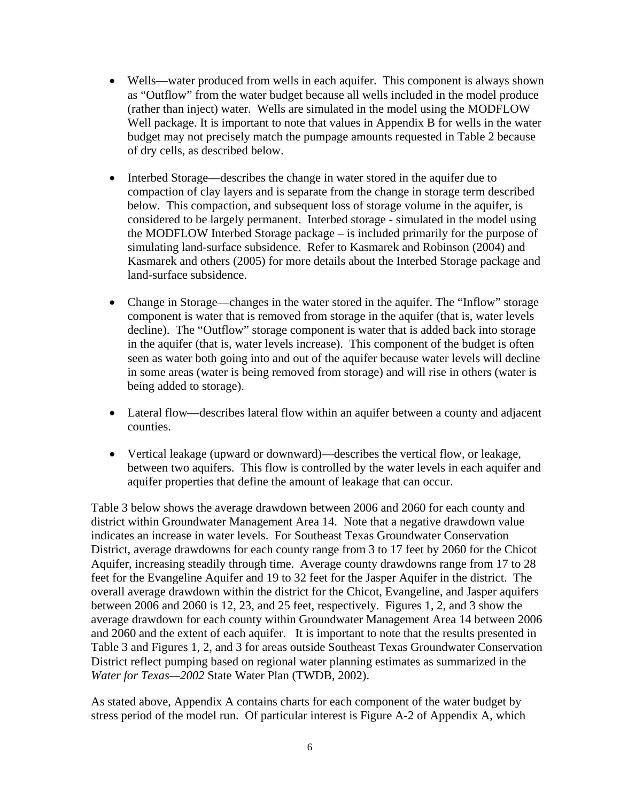- Wells—water produced from wells in each aquifer. This component is always shown as "Outflow" from the water budget because all wells included in the model produce (rather than inject) water. Wells are simulated in the model using the MODFLOW Well package. It is important to note that values in Appendix B for wells in the water budget may not precisely match the pumpage amounts requested in Table 2 because of dry cells, as described below.
- Interbed Storage—describes the change in water stored in the aquifer due to compaction of clay layers and is separate from the change in storage term described below. This compaction, and subsequent loss of storage volume in the aquifer, is considered to be largely permanent. Interbed storage - simulated in the model using the MODFLOW Interbed Storage package – is included primarily for the purpose of simulating land-surface subsidence. Refer to Kasmarek and Robinson (2004) and Kasmarek and others (2005) for more details about the Interbed Storage package and land-surface subsidence.
- Change in Storage—changes in the water stored in the aquifer. The "Inflow" storage component is water that is removed from storage in the aquifer (that is, water levels decline). The "Outflow" storage component is water that is added back into storage in the aquifer (that is, water levels increase). This component of the budget is often seen as water both going into and out of the aquifer because water levels will decline in some areas (water is being removed from storage) and will rise in others (water is being added to storage).
- Lateral flow—describes lateral flow within an aquifer between a county and adjacent counties.
- Vertical leakage (upward or downward)—describes the vertical flow, or leakage, between two aquifers. This flow is controlled by the water levels in each aquifer and aquifer properties that define the amount of leakage that can occur.

Table 3 below shows the average drawdown between 2006 and 2060 for each county and district within Groundwater Management Area 14. Note that a negative drawdown value indicates an increase in water levels. For Southeast Texas Groundwater Conservation District, average drawdowns for each county range from 3 to 17 feet by 2060 for the Chicot Aquifer, increasing steadily through time. Average county drawdowns range from 17 to 28 feet for the Evangeline Aquifer and 19 to 32 feet for the Jasper Aquifer in the district. The overall average drawdown within the district for the Chicot, Evangeline, and Jasper aquifers between 2006 and 2060 is 12, 23, and 25 feet, respectively. Figures 1, 2, and 3 show the average drawdown for each county within Groundwater Management Area 14 between 2006 and 2060 and the extent of each aquifer. It is important to note that the results presented in Table 3 and Figures 1, 2, and 3 for areas outside Southeast Texas Groundwater Conservation District reflect pumping based on regional water planning estimates as summarized in the *Water for Texas—2002* State Water Plan (TWDB, 2002).

As stated above, Appendix A contains charts for each component of the water budget by stress period of the model run. Of particular interest is Figure A-2 of Appendix A, which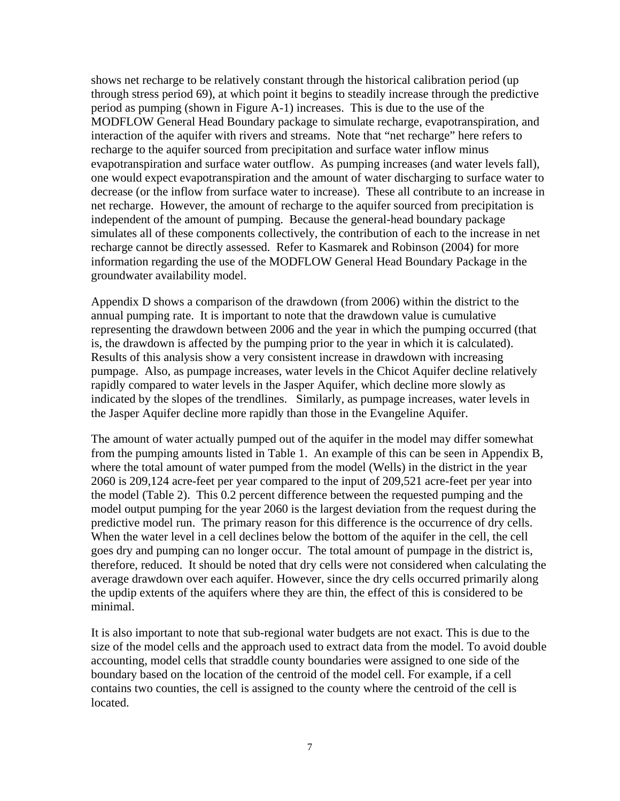shows net recharge to be relatively constant through the historical calibration period (up through stress period 69), at which point it begins to steadily increase through the predictive period as pumping (shown in Figure A-1) increases. This is due to the use of the MODFLOW General Head Boundary package to simulate recharge, evapotranspiration, and interaction of the aquifer with rivers and streams. Note that "net recharge" here refers to recharge to the aquifer sourced from precipitation and surface water inflow minus evapotranspiration and surface water outflow. As pumping increases (and water levels fall), one would expect evapotranspiration and the amount of water discharging to surface water to decrease (or the inflow from surface water to increase). These all contribute to an increase in net recharge. However, the amount of recharge to the aquifer sourced from precipitation is independent of the amount of pumping. Because the general-head boundary package simulates all of these components collectively, the contribution of each to the increase in net recharge cannot be directly assessed. Refer to Kasmarek and Robinson (2004) for more information regarding the use of the MODFLOW General Head Boundary Package in the groundwater availability model.

Appendix D shows a comparison of the drawdown (from 2006) within the district to the annual pumping rate. It is important to note that the drawdown value is cumulative representing the drawdown between 2006 and the year in which the pumping occurred (that is, the drawdown is affected by the pumping prior to the year in which it is calculated). Results of this analysis show a very consistent increase in drawdown with increasing pumpage. Also, as pumpage increases, water levels in the Chicot Aquifer decline relatively rapidly compared to water levels in the Jasper Aquifer, which decline more slowly as indicated by the slopes of the trendlines. Similarly, as pumpage increases, water levels in the Jasper Aquifer decline more rapidly than those in the Evangeline Aquifer.

The amount of water actually pumped out of the aquifer in the model may differ somewhat from the pumping amounts listed in Table 1. An example of this can be seen in Appendix B, where the total amount of water pumped from the model (Wells) in the district in the year 2060 is 209,124 acre-feet per year compared to the input of 209,521 acre-feet per year into the model (Table 2). This 0.2 percent difference between the requested pumping and the model output pumping for the year 2060 is the largest deviation from the request during the predictive model run. The primary reason for this difference is the occurrence of dry cells. When the water level in a cell declines below the bottom of the aquifer in the cell, the cell goes dry and pumping can no longer occur. The total amount of pumpage in the district is, therefore, reduced. It should be noted that dry cells were not considered when calculating the average drawdown over each aquifer. However, since the dry cells occurred primarily along the updip extents of the aquifers where they are thin, the effect of this is considered to be minimal.

It is also important to note that sub-regional water budgets are not exact. This is due to the size of the model cells and the approach used to extract data from the model. To avoid double accounting, model cells that straddle county boundaries were assigned to one side of the boundary based on the location of the centroid of the model cell. For example, if a cell contains two counties, the cell is assigned to the county where the centroid of the cell is located.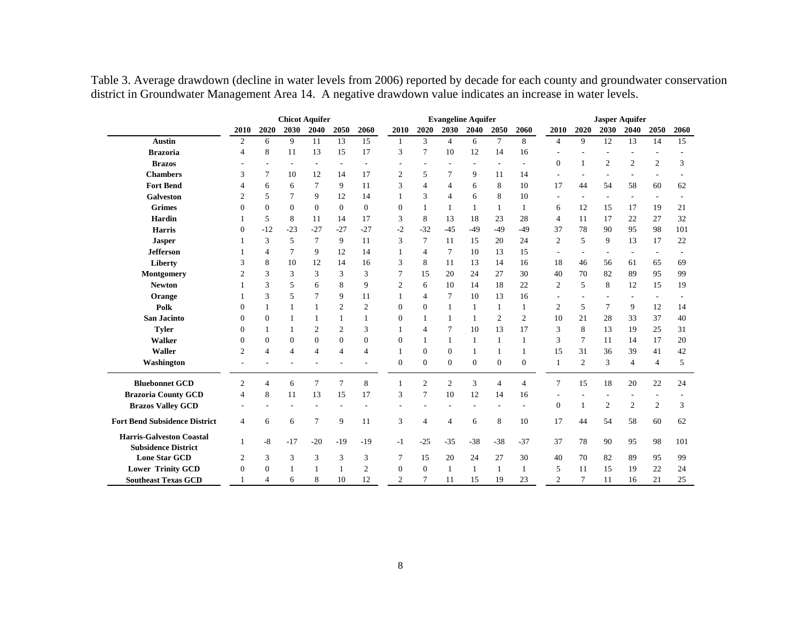Table 3. Average drawdown (decline in water levels from 2006) reported by decade for each county and groundwater conservation district in Groundwater Management Area 14. A negative drawdown value indicates an increase in water levels.

|                                                               | <b>Chicot Aquifer</b> |                  |                |              |                |                |                |                | <b>Evangeline Aquifer</b> |          |                |                |                  |                | <b>Jasper Aquifer</b> |                |                          |      |
|---------------------------------------------------------------|-----------------------|------------------|----------------|--------------|----------------|----------------|----------------|----------------|---------------------------|----------|----------------|----------------|------------------|----------------|-----------------------|----------------|--------------------------|------|
|                                                               | 2010                  | 2020             | 2030           | 2040         | 2050           | 2060           | 2010           | 2020           | 2030                      | 2040     | 2050           | 2060           | 2010             | 2020           | 2030                  | 2040           | 2050                     | 2060 |
| <b>Austin</b>                                                 | 2                     | 6                | 9              | 11           | 13             | 15             | $\mathbf{1}$   | 3              | $\overline{4}$            | 6        | $\tau$         | 8              | $\overline{4}$   | $\mathbf{Q}$   | 12                    | 13             | 14                       | 15   |
| <b>Brazoria</b>                                               | 4                     | 8                | 11             | 13           | 15             | 17             | 3              | 7              | 10                        | 12       | 14             | 16             |                  |                |                       |                |                          |      |
| <b>Brazos</b>                                                 |                       |                  |                |              |                |                |                |                |                           |          |                |                | $\boldsymbol{0}$ | 1              | $\mathfrak{2}$        | $\mathbf{2}$   | $\mathfrak{2}$           | 3    |
| <b>Chambers</b>                                               | 3                     | 7                | 10             | 12           | 14             | 17             | $\overline{2}$ | 5              | 7                         | 9        | 11             | 14             |                  |                |                       |                | ä,                       |      |
| <b>Fort Bend</b>                                              |                       | 6                | 6              | 7            | 9              | 11             | 3              | $\overline{4}$ | $\overline{4}$            | 6        | 8              | 10             | 17               | 44             | 54                    | 58             | 60                       | 62   |
| <b>Galveston</b>                                              | $\overline{c}$        | 5                | 7              | 9            | 12             | 14             |                | 3              | $\overline{4}$            | 6        | 8              | 10             |                  |                | ٠                     |                | $\overline{\phantom{a}}$ |      |
| <b>Grimes</b>                                                 | $\Omega$              | $\boldsymbol{0}$ | $\theta$       | $\mathbf{0}$ | $\theta$       | $\Omega$       | $\overline{0}$ |                | -1                        | 1        | $\mathbf{1}$   | 1              | 6                | 12             | 15                    | 17             | 19                       | 21   |
| Hardin                                                        |                       | 5                | 8              | 11           | 14             | 17             | 3              | 8              | 13                        | 18       | 23             | 28             | 4                | 11             | 17                    | 22             | 27                       | 32   |
| <b>Harris</b>                                                 | $\Omega$              | $-12$            | $-23$          | $-27$        | $-27$          | $-27$          | $-2$           | $-32$          | $-45$                     | $-49$    | $-49$          | $-49$          | 37               | 78             | 90                    | 95             | 98                       | 101  |
| <b>Jasper</b>                                                 |                       | 3                | 5              | 7            | 9              | 11             | 3              | 7              | 11                        | 15       | 20             | 24             | $\overline{c}$   | 5              | 9                     | 13             | 17                       | 22   |
| <b>Jefferson</b>                                              |                       | 4                | 7              | 9            | 12             | 14             |                | $\overline{4}$ | 7                         | 10       | 13             | 15             |                  |                |                       |                | $\overline{\phantom{0}}$ |      |
| Liberty                                                       | 3                     | 8                | 10             | 12           | 14             | 16             | 3              | 8              | 11                        | 13       | 14             | 16             | 18               | 46             | 56                    | 61             | 65                       | 69   |
| Montgomery                                                    | $\mathfrak{D}$        | 3                | 3              | 3            | 3              | 3              |                | 15             | 20                        | 24       | 27             | 30             | 40               | 70             | 82                    | 89             | 95                       | 99   |
| <b>Newton</b>                                                 |                       | 3                | 5              | 6            | 8              | 9              | 2              | 6              | 10                        | 14       | 18             | 22             | $\overline{2}$   | 5              | 8                     | 12             | 15                       | 19   |
| Orange                                                        |                       | 3                | 5              |              | 9              | 11             |                | 4              | $\overline{7}$            | 10       | 13             | 16             |                  |                |                       |                | $\overline{\phantom{a}}$ |      |
| Polk                                                          | 0                     |                  |                |              | 2              | 2              | 0              | $\mathbf{0}$   | $\overline{1}$            |          | 1              |                | $\overline{2}$   | 5              | $\overline{7}$        | 9              | 12                       | 14   |
| <b>San Jacinto</b>                                            | $\Omega$              | $\theta$         |                |              | 1              |                | $\Omega$       | 1              | $\mathbf{1}$              |          | $\overline{2}$ | $\overline{2}$ | 10               | 21             | 28                    | 33             | 37                       | 40   |
| <b>Tyler</b>                                                  | 0                     |                  |                | 2            | $\mathfrak{2}$ | 3              |                | 4              | 7                         | 10       | 13             | 17             | 3                | 8              | 13                    | 19             | 25                       | 31   |
| <b>Walker</b>                                                 | $\Omega$              | $\theta$         | $\theta$       | $\mathbf{0}$ | $\mathbf{0}$   | $\theta$       | 0              | $\mathbf{1}$   | $\overline{1}$            |          | 1              |                | 3                | 7              | 11                    | 14             | 17                       | 20   |
| Waller                                                        | $\overline{2}$        | $\overline{4}$   | $\overline{4}$ | 4            | $\overline{4}$ | $\overline{4}$ |                | $\mathbf{0}$   | $\mathbf{0}$              |          | 1              |                | 15               | 31             | 36                    | 39             | 41                       | 42   |
| Washington                                                    |                       |                  |                |              |                |                | $\mathbf{0}$   | $\mathbf{0}$   | $\theta$                  | $\Omega$ | $\mathbf{0}$   | $\mathbf{0}$   | 1                | $\overline{2}$ | 3                     | $\overline{4}$ | 4                        | 5    |
| <b>Bluebonnet GCD</b>                                         | $\overline{2}$        | $\overline{4}$   | 6              | 7            | $\overline{7}$ | 8              |                | $\overline{2}$ | $\overline{2}$            | 3        | $\overline{4}$ | $\overline{4}$ | $\tau$           | 15             | 18                    | 20             | 22                       | 24   |
| <b>Brazoria County GCD</b>                                    | 4                     | 8                | 11             | 13           | 15             | 17             | 3              | 7              | 10                        | 12       | 14             | 16             |                  |                |                       |                |                          |      |
| <b>Brazos Valley GCD</b>                                      |                       |                  |                |              |                |                |                |                |                           |          |                |                | $\boldsymbol{0}$ | 1              | 2                     | $\overline{2}$ | 2                        | 3    |
| <b>Fort Bend Subsidence District</b>                          | $\overline{4}$        | 6                | 6              | 7            | 9              | 11             | 3              | $\overline{4}$ | $\overline{4}$            | 6        | 8              | 10             | 17               | 44             | 54                    | 58             | 60                       | 62   |
| <b>Harris-Galveston Coastal</b><br><b>Subsidence District</b> | 1                     | $-8$             | $-17$          | $-20$        | $-19$          | $-19$          | $-1$           | $-25$          | $-35$                     | $-38$    | $-38$          | $-37$          | 37               | 78             | 90                    | 95             | 98                       | 101  |
| <b>Lone Star GCD</b>                                          | 2                     | 3                | 3              | 3            | 3              | 3              | 7              | 15             | 20                        | 24       | 27             | 30             | 40               | 70             | 82                    | 89             | 95                       | 99   |
| <b>Lower Trinity GCD</b>                                      | $\mathbf{0}$          | $\overline{0}$   |                |              |                | $\overline{2}$ | $\mathbf{0}$   | $\overline{0}$ | $\mathbf{1}$              |          | 1              |                | 5                | 11             | 15                    | 19             | 22                       | 24   |
| <b>Southeast Texas GCD</b>                                    |                       | 4                | 6              | 8            | 10             | 12             | $\overline{c}$ | 7              | 11                        | 15       | 19             | 23             | $\mathfrak{D}$   | $\overline{7}$ | 11                    | 16             | 21                       | 25   |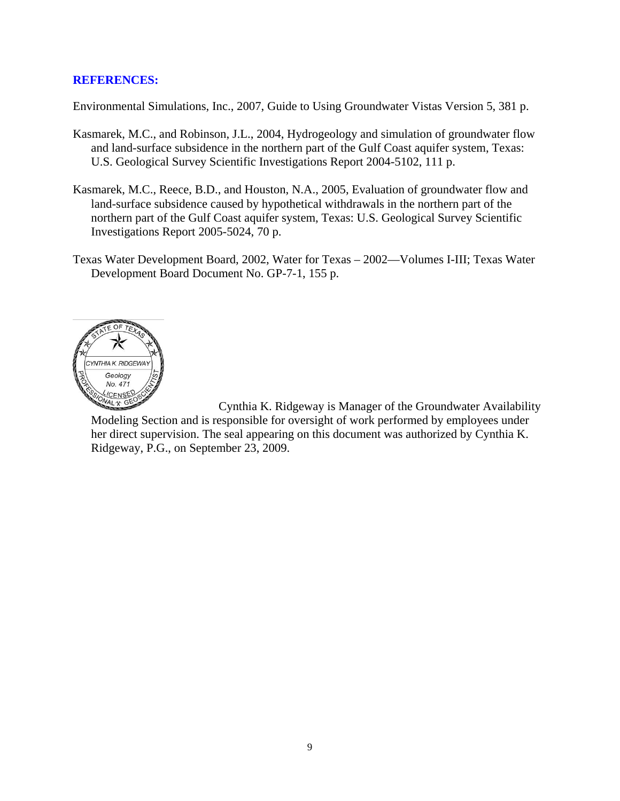#### **REFERENCES:**

Environmental Simulations, Inc., 2007, Guide to Using Groundwater Vistas Version 5, 381 p.

- Kasmarek, M.C., and Robinson, J.L., 2004, Hydrogeology and simulation of groundwater flow and land-surface subsidence in the northern part of the Gulf Coast aquifer system, Texas: U.S. Geological Survey Scientific Investigations Report 2004-5102, 111 p.
- Kasmarek, M.C., Reece, B.D., and Houston, N.A., 2005, Evaluation of groundwater flow and land-surface subsidence caused by hypothetical withdrawals in the northern part of the northern part of the Gulf Coast aquifer system, Texas: U.S. Geological Survey Scientific Investigations Report 2005-5024, 70 p.
- Texas Water Development Board, 2002, Water for Texas 2002—Volumes I-III; Texas Water Development Board Document No. GP-7-1, 155 p.



 Cynthia K. Ridgeway is Manager of the Groundwater Availability Modeling Section and is responsible for oversight of work performed by employees under her direct supervision. The seal appearing on this document was authorized by Cynthia K. Ridgeway, P.G., on September 23, 2009.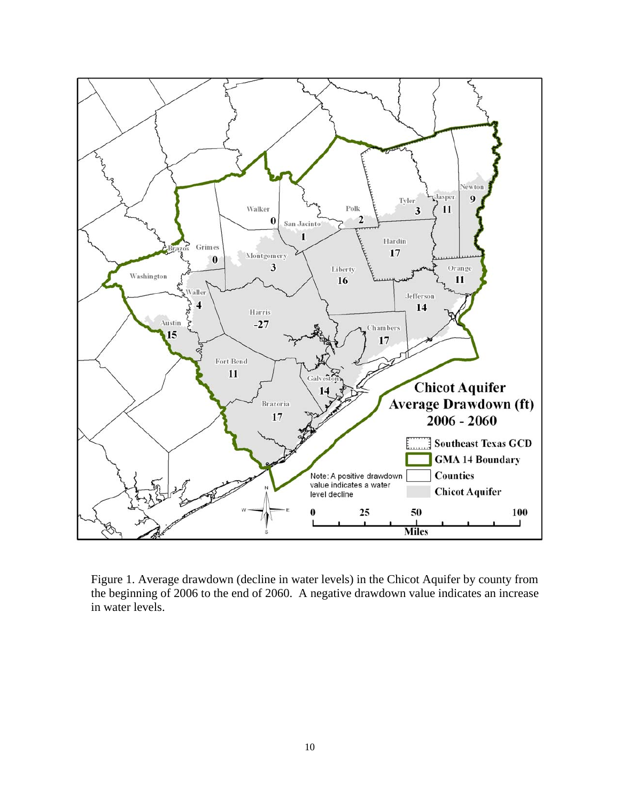

Figure 1. Average drawdown (decline in water levels) in the Chicot Aquifer by county from the beginning of 2006 to the end of 2060. A negative drawdown value indicates an increase in water levels.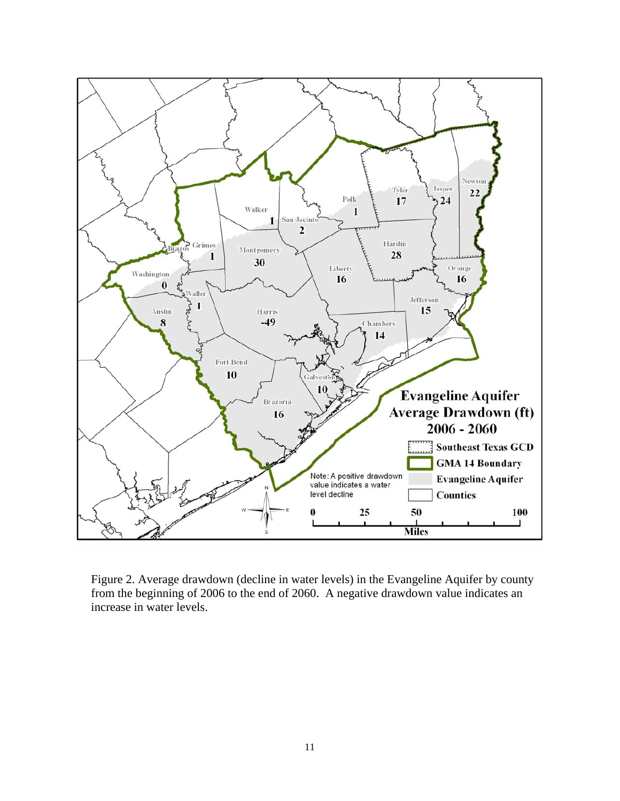

Figure 2. Average drawdown (decline in water levels) in the Evangeline Aquifer by county from the beginning of 2006 to the end of 2060. A negative drawdown value indicates an increase in water levels.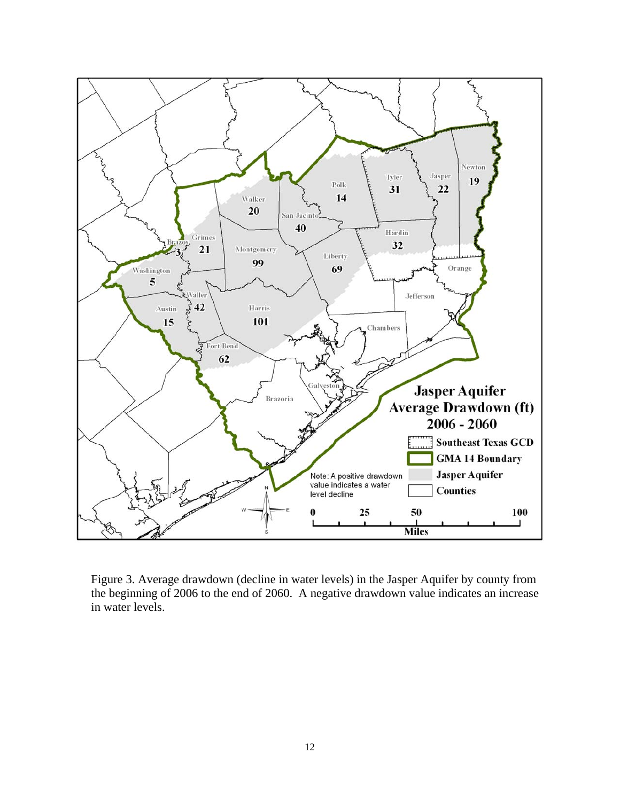

Figure 3. Average drawdown (decline in water levels) in the Jasper Aquifer by county from the beginning of 2006 to the end of 2060. A negative drawdown value indicates an increase in water levels.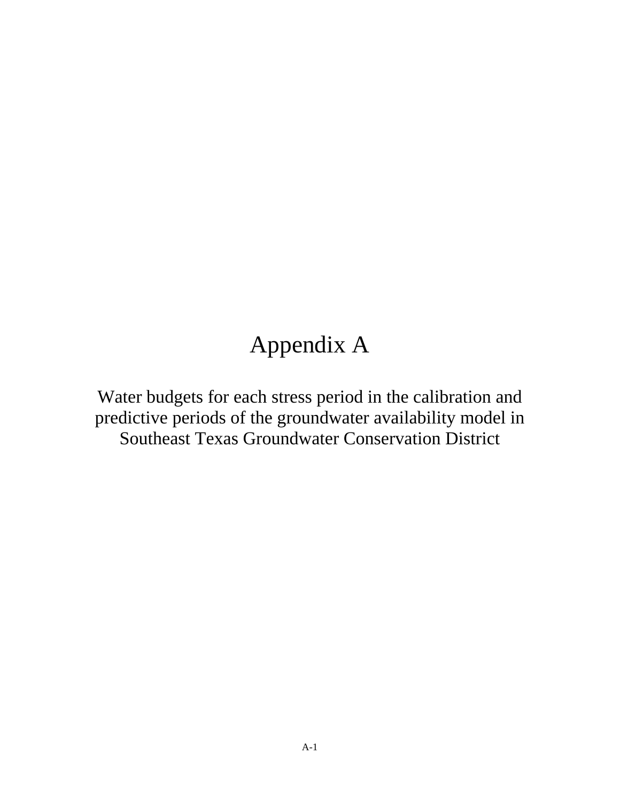## Appendix A

Water budgets for each stress period in the calibration and predictive periods of the groundwater availability model in Southeast Texas Groundwater Conservation District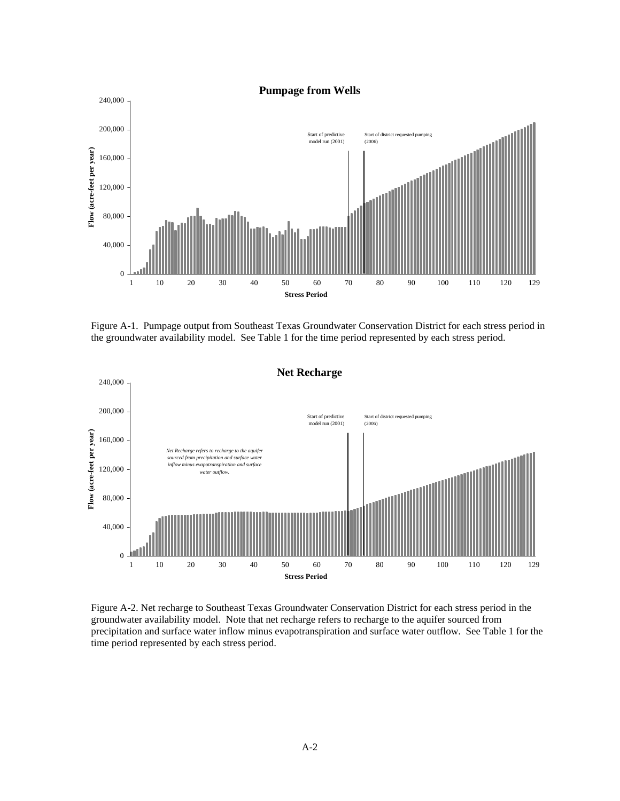

Figure A-1. Pumpage output from Southeast Texas Groundwater Conservation District for each stress period in the groundwater availability model. See Table 1 for the time period represented by each stress period.



Figure A-2. Net recharge to Southeast Texas Groundwater Conservation District for each stress period in the groundwater availability model. Note that net recharge refers to recharge to the aquifer sourced from precipitation and surface water inflow minus evapotranspiration and surface water outflow. See Table 1 for the time period represented by each stress period.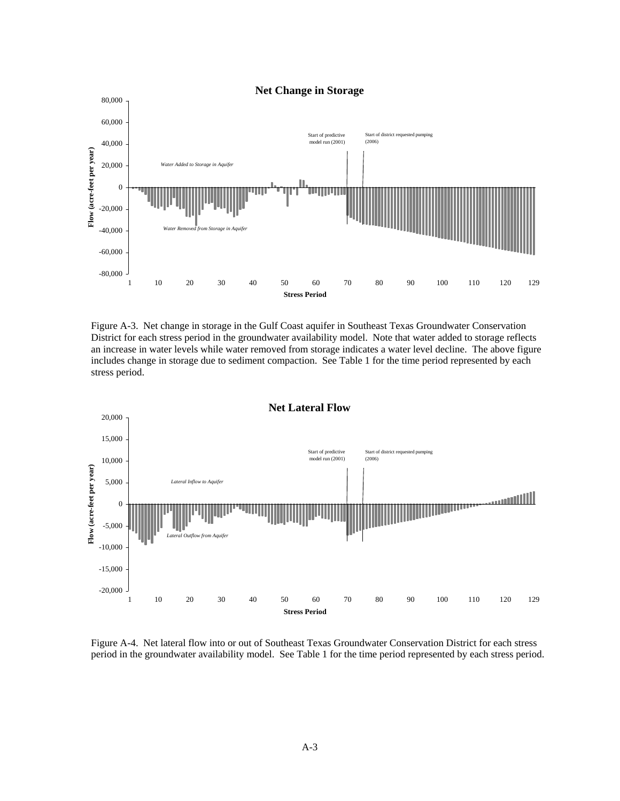

Figure A-3. Net change in storage in the Gulf Coast aquifer in Southeast Texas Groundwater Conservation District for each stress period in the groundwater availability model. Note that water added to storage reflects an increase in water levels while water removed from storage indicates a water level decline. The above figure includes change in storage due to sediment compaction. See Table 1 for the time period represented by each stress period.



Figure A-4. Net lateral flow into or out of Southeast Texas Groundwater Conservation District for each stress period in the groundwater availability model. See Table 1 for the time period represented by each stress period.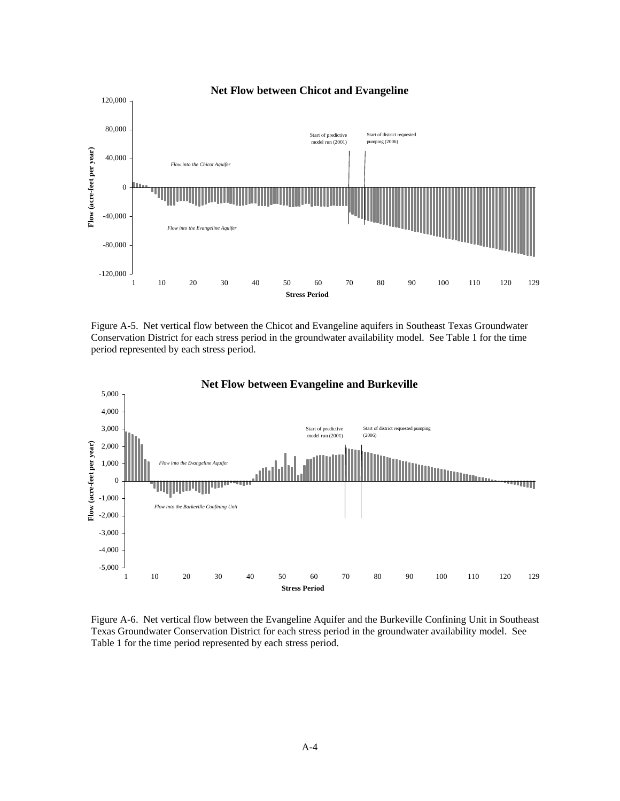

Figure A-5. Net vertical flow between the Chicot and Evangeline aquifers in Southeast Texas Groundwater Conservation District for each stress period in the groundwater availability model. See Table 1 for the time period represented by each stress period.



Figure A-6. Net vertical flow between the Evangeline Aquifer and the Burkeville Confining Unit in Southeast Texas Groundwater Conservation District for each stress period in the groundwater availability model. See Table 1 for the time period represented by each stress period.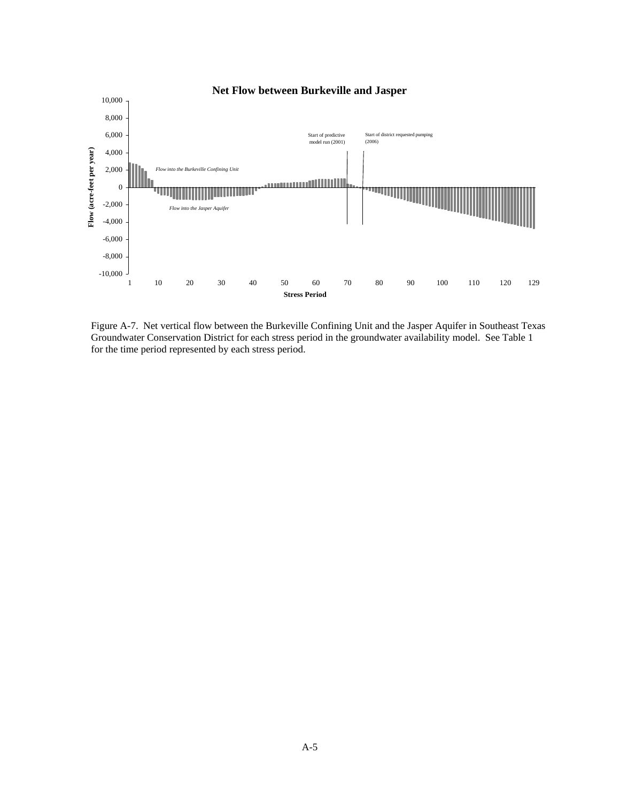

Figure A-7. Net vertical flow between the Burkeville Confining Unit and the Jasper Aquifer in Southeast Texas Groundwater Conservation District for each stress period in the groundwater availability model. See Table 1 for the time period represented by each stress period.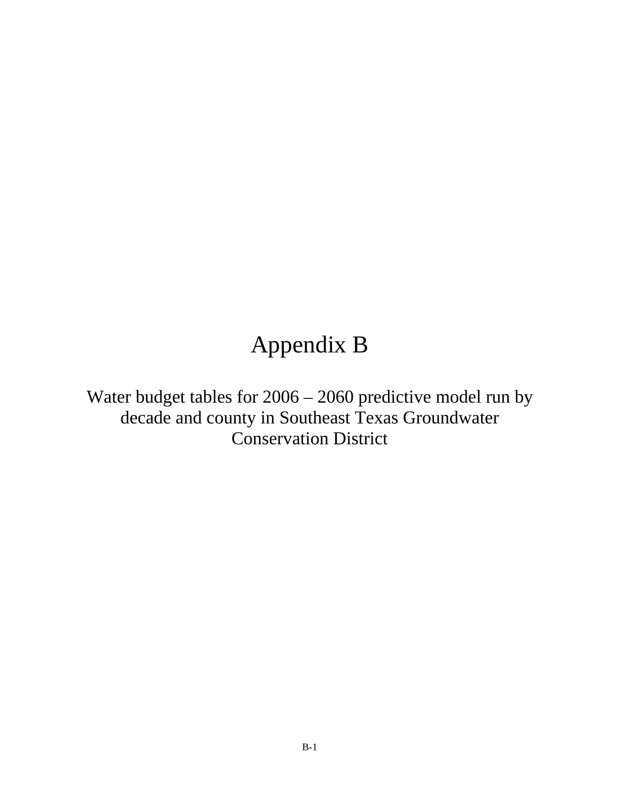# Appendix B

Water budget tables for 2006 – 2060 predictive model run by decade and county in Southeast Texas Groundwater Conservation District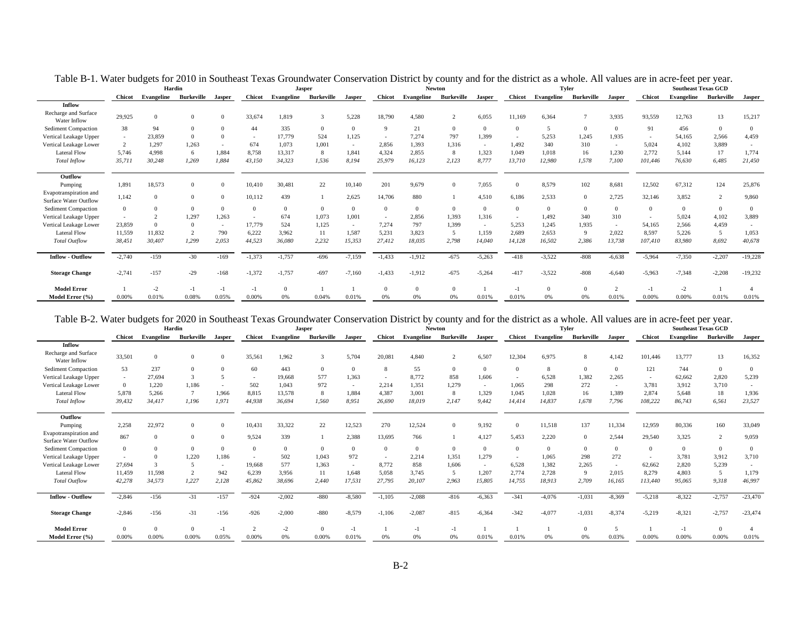|                                                 |                | Hardin     |            |        |               |            | Jasper            |          |               |          | <b>Newton</b>         |          |          |                          | <b>Tyler</b>   |                |               | <b>Southeast Texas GCD</b> |                   |           |
|-------------------------------------------------|----------------|------------|------------|--------|---------------|------------|-------------------|----------|---------------|----------|-----------------------|----------|----------|--------------------------|----------------|----------------|---------------|----------------------------|-------------------|-----------|
|                                                 | <b>Chicot</b>  | Evangeline | Burkeville | Jasper | <b>Chicot</b> | Evangeline | <b>Burkeville</b> | Jasper   | <b>Chicot</b> |          | Evangeline Burkeville | Jasper   |          | <b>Chicot</b> Evangeline | Burkeville     | Jasper         | <b>Chicot</b> | Evangeline                 | <b>Burkeville</b> | Jasper    |
| Inflow                                          |                |            |            |        |               |            |                   |          |               |          |                       |          |          |                          |                |                |               |                            |                   |           |
| Recharge and Surface<br>Water Inflow            | 29,925         | $\Omega$   |            |        | 33,674        | 1,819      | 3                 | 5,228    | 18,790        | 4.580    | $\gamma$              | 6,055    | 11,169   | 6.364                    | $\overline{7}$ | 3.935          | 93,559        | 12,763                     | 13                | 15,217    |
| <b>Sediment Compaction</b>                      | 38             | 94         |            |        | 44            | 335        | $\mathbf{0}$      | $\Omega$ | $\Omega$      | 21       | $\Omega$              | $\Omega$ | $\Omega$ | $\overline{\phantom{a}}$ | $\Omega$       | $\Omega$       | 91            | 456                        | $\overline{0}$    |           |
| Vertical Leakage Upper                          |                | 23,859     |            |        | $\sim$        | 17,779     | 524               | 1,125    |               | 7.274    | 797                   | 1,399    |          | 5,253                    | 1,245          | 1.935          | $\sim$        | 54.165                     | 2,566             | 4,459     |
| Vertical Leakage Lower                          | $\overline{2}$ | 1,297      | 1.263      |        | 674           | 1.073      | 1.001             | $\sim$   | 2.856         | 1.393    | 1.316                 | $\sim$   | 1.492    | 340                      | 310            | $\sim$         | 5.024         | 4,102                      | 3,889             |           |
| <b>Lateral Flow</b>                             | 5.746          | 4,998      |            | 1.884  | 8,758         | 13.317     | 8                 | 1,841    | 4,324         | 2.855    | 8                     | 1,323    | 1.049    | 1.018                    | 16             | 1,230          | 2.772         | 5.144                      | 17                | 1,774     |
| <b>Total Inflow</b>                             | 35,711         | 30,248     | 1,269      | 1,884  | 43,150        | 34,323     | 1,536             | 8,194    | 25,979        | 16,123   | 2,123                 | 8,777    | 13,710   | 12,980                   | 1,578          | 7,100          | 101,446       | 76,630                     | 6,485             | 21,450    |
| Outflow                                         |                |            |            |        |               |            |                   |          |               |          |                       |          |          |                          |                |                |               |                            |                   |           |
| Pumping                                         | 1.891          | 18,573     | $\Omega$   |        | 10,410        | 30,481     | 22                | 10,140   | 201           | 9.679    | $\Omega$              | 7,055    | $\Omega$ | 8,579                    | 102            | 8,681          | 12,502        | 67,312                     | 124               | 25,876    |
| Evapotranspiration and<br>Surface Water Outflow | 1.142          | $\Omega$   |            |        | 10,112        | 439        |                   | 2,625    | 14,706        | 880      |                       | 4,510    | 6.186    | 2,533                    | $\Omega$       | 2,725          | 32,146        | 3,852                      | 2                 | 9,860     |
| <b>Sediment Compaction</b>                      | $\overline{0}$ |            |            |        | $\Omega$      | $\Omega$   | $\Omega$          | $\theta$ | $\Omega$      | $\Omega$ | $\Omega$              | $\Omega$ | $\Omega$ | $\Omega$                 | $\mathbf{0}$   | $\Omega$       |               |                            | $\overline{0}$    |           |
| Vertical Leakage Upper                          |                |            | 1,297      | 1,263  |               | 674        | 1.073             | 1,001    |               | 2.856    | 1,393                 | 1,316    |          | 1.492                    | 340            | 310            |               | 5.024                      | 4,102             | 3,889     |
| Vertical Leakage Lower                          | 23,859         |            |            | $\sim$ | 17,779        | 524        | 1.125             | $\sim$   | 7.274         | 797      | 1,399                 | $\sim$   | 5.253    | 1.245                    | 1,935          | $\sim$         | 54.165        | 2.566                      | 4,459             |           |
| <b>Lateral Flow</b>                             | 11,559         | 11,832     |            | 790    | 6,222         | 3.962      | 11                | 1,587    | 5,231         | 3.823    |                       | 1,159    | 2.689    | 2,653                    | 9              | 2,022          | 8.597         | 5,226                      | -5                | 1,053     |
| <b>Total Outflow</b>                            | 38,451         | 30,407     | 1,299      | 2,053  | 44,523        | 36,080     | 2,232             | 15,353   | 27,412        | 18,035   | 2,798                 | 14,040   | 14,128   | 16,502                   | 2,386          | 13,738         | 107,410       | 83,980                     | 8,692             | 40,678    |
| <b>Inflow - Outflow</b>                         | $-2,740$       | $-159$     | $-30$      | $-169$ | $-1,373$      | $-1,757$   | $-696$            | $-7,159$ | $-1,433$      | $-1,912$ | $-675$                | $-5,263$ | $-418$   | $-3,522$                 | $-808$         | $-6,638$       | $-5.964$      | $-7,350$                   | $-2,207$          | $-19,228$ |
| <b>Storage Change</b>                           | $-2,741$       | $-157$     | $-29$      | $-168$ | $-1,372$      | $-1,757$   | $-697$            | $-7,160$ | $-1,433$      | $-1.912$ | $-675$                | $-5,264$ | $-417$   | $-3,522$                 | $-808$         | $-6,640$       | $-5.963$      | $-7,348$                   | $-2,208$          | $-19,232$ |
| <b>Model Error</b>                              |                | $-2$       |            |        | $-1$          | $\Omega$   |                   |          |               |          |                       |          |          |                          |                | $\overline{2}$ | $-1$          | $-2$                       |                   |           |
| Model Error (%)                                 | 0.00%          | 0.01%      | 0.08%      | 0.05%  | 0.00%         | 0%         | 0.04%             | 0.01%    | 0%            | 0%       | 0%                    | 0.01%    | 0.01%    | 0%                       | 0%             | 0.01%          | 0.00%         | 0.00%                      | 0.01%             | 0.01%     |

Table B-1. Water budgets for 2010 in Southeast Texas Groundwater Conservation District by county and for the district as a whole. All values are in acre-feet per year.

#### Table B-2. Water budgets for 2020 in Southeast Texas Groundwater Conservation District by county and for the district as a whole. All values are in acre-feet per year.

|                                                        |               |            | Hardin            |               |               | <b>Jasper</b> |                   |               |               |            | <b>Newton</b> |               |               |                    | <b>Tyler</b>      |                |                | <b>Southeast Texas GCD</b> |                   |               |
|--------------------------------------------------------|---------------|------------|-------------------|---------------|---------------|---------------|-------------------|---------------|---------------|------------|---------------|---------------|---------------|--------------------|-------------------|----------------|----------------|----------------------------|-------------------|---------------|
|                                                        | <b>Chicot</b> | Evangeline | <b>Burkeville</b> | <b>Jasper</b> | <b>Chicot</b> | Evangeline    | <b>Burkeville</b> | <b>Jasper</b> | <b>Chicot</b> | Evangeline | Burkeville    | <b>Jasper</b> | <b>Chicot</b> | Evangeline         | <b>Burkeville</b> | <b>Jasper</b>  | <b>Chicot</b>  | <b>Evangeline</b>          | <b>Burkeville</b> | <b>Jasper</b> |
| <b>Inflow</b>                                          |               |            |                   |               |               |               |                   |               |               |            |               |               |               |                    |                   |                |                |                            |                   |               |
| Recharge and Surface<br>Water Inflow                   | 33,501        | $\Omega$   |                   |               | 35,561        | 1,962         |                   | 5,704         | 20,081        | 4.840      |               | 6,507         | 12,304        | 6,975              | 8                 | 4,142          | 101,446        | 13,777                     | 13                | 16,352        |
| <b>Sediment Compaction</b>                             | 53            | 237        |                   |               | 60            | 443           | $\Omega$          | $\Omega$      |               | 55         | $\Omega$      | $\Omega$      |               | $\mathbf{\hat{z}}$ | $\Omega$          | $\Omega$       | 121            | 744                        | $\overline{0}$    |               |
| Vertical Leakage Upper                                 | $\sim$        | 27,694     |                   |               | $\sim$        | 19.668        | 577               | 1,363         | $\sim$        | 8.772      | 858           | 1,606         |               | 6,528              | 1,382             | 2.265          | $\overline{a}$ | 62,662                     | 2,820             | 5,239         |
| Vertical Leakage Lower                                 | $\Omega$      | 1,220      | 1.186             |               | 502           | 1.043         | 972               |               | 2.214         | 1.351      | 1,279         | $\sim$        | 1.065         | 298                | 272               | $\overline{a}$ | 3.781          | 3.912                      | 3,710             |               |
| <b>Lateral Flow</b>                                    | 5.878         | 5,266      | $\mathcal{L}$     | 1.966         | 8.815         | 13,578        |                   | 1,884         | 4.387         | 3.001      | 8             | 1.329         | 1.045         | 1.028              | 16                | 1.389          | 2.874          | 5.648                      | 18                | 1,936         |
| <b>Total Inflow</b>                                    | 39,432        | 34,417     | 1,196             | 1,971         | 44,938        | 36,694        | 1,560             | 8,951         | 26,690        | 18,019     | 2,147         | 9,442         | 14,414        | 14,837             | 1,678             | 7,796          | 108,222        | 86,743                     | 6,561             | 23,527        |
|                                                        |               |            |                   |               |               |               |                   |               |               |            |               |               |               |                    |                   |                |                |                            |                   |               |
| Outflow                                                |               |            |                   |               |               |               |                   |               |               |            |               |               |               |                    |                   |                |                |                            |                   |               |
| Pumping                                                | 2,258         | 22,972     |                   |               | 10,431        | 33,322        | 22                | 12,523        | 270           | 12,524     | $\Omega$      | 9,192         | $\Omega$      | 11,518             | 137               | 11,334         | 12,959         | 80,336                     | 160               | 33,049        |
| Evapotranspiration and<br><b>Surface Water Outflow</b> | 867           | $\Omega$   |                   | $\Omega$      | 9,524         | 339           |                   | 2,388         | 13,695        | 766        |               | 4,127         | 5.453         | 2,220              | $\Omega$          | 2,544          | 29,540         | 3,325                      | 2                 | 9,059         |
| <b>Sediment Compaction</b>                             |               |            |                   |               | $\Omega$      | $\Omega$      | $\Omega$          | $\Omega$      | $\Omega$      | $\Omega$   | $\theta$      | $\Omega$      |               | $\Omega$           | $\Omega$          | $\Omega$       |                | $\Omega$                   | $\mathbf{0}$      | $\Omega$      |
| Vertical Leakage Upper                                 |               |            | 1.220             | 1.186         |               | 502           | 1.043             | 972           |               | 2.214      | 1.351         | 1,279         |               | 1.065              | 298               | 272            |                | 3.781                      | 3,912             | 3,710         |
| Vertical Leakage Lower                                 | 27.694        |            |                   | $\sim$        | 19,668        | 577           | 1.363             | $\sim$        | 8.772         | 858        | 1.606         | $\sim$        | 6.528         | 1.382              | 2,265             |                | 62,662         | 2,820                      | 5,239             |               |
| <b>Lateral Flow</b>                                    | 11.459        | 11,598     |                   | 942           | 6,239         | 3.956         | 11                | 1,648         | 5.058         | 3.745      | 5             | 1,207         | 2.774         | 2.728              | 9                 | 2,015          | 8.279          | 4.803                      | 5                 | 1,179         |
| Total Outflow                                          | 42,278        | 34,573     | 1,227             | 2,128         | 45,862        | 38.696        | 2.440             | 17,531        | 27,795        | 20,107     | 2.963         | 15,805        | 14,755        | 18,913             | 2,709             | 16,165         | 113.440        | 95.065                     | 9,318             | 46,997        |
| <b>Inflow - Outflow</b>                                | $-2,846$      | $-156$     | $-31$             | $-157$        | $-924$        | $-2,002$      | $-880$            | $-8,580$      | $-1,105$      | $-2,088$   | $-816$        | $-6,363$      | $-341$        | $-4,076$           | $-1,031$          | $-8,369$       | $-5,218$       | $-8,322$                   | $-2,757$          | $-23,470$     |
| <b>Storage Change</b>                                  | $-2,846$      | $-156$     | $-31$             | $-156$        | $-926$        | $-2,000$      | $-880$            | $-8,579$      | $-1,106$      | $-2,087$   | $-815$        | $-6,364$      | $-342$        | $-4.077$           | $-1,031$          | $-8,374$       | $-5,219$       | $-8.321$                   | $-2,757$          | $-23,474$     |
| <b>Model Error</b>                                     |               | $\Omega$   |                   | - 1           | $\sim$        | $-2$          | $\Omega$          | $-1$          |               |            |               |               |               |                    | $\Omega$          |                |                | -1                         | $\Omega$          |               |
| Model Error (%)                                        | 0.00%         | 0.00%      | 0.00%             | 0.05%         | 0.00%         | 0%            | 0.00%             | 0.01%         | 0%            | 0%         | 0%            | 0.01%         | 0.01%         | 0%                 | 0%                | 0.03%          | 0.00%          | 0.00%                      | 0.00%             | 0.01%         |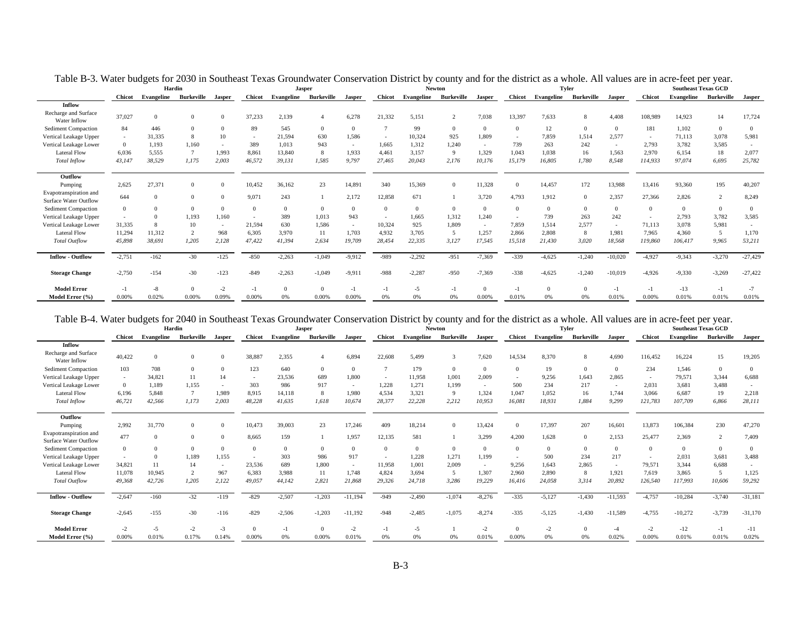|                                                        |               | Hardin     |            |                          |               | <b>Jasper</b> |            |               |               |                       | <b>Newton</b> |               |          |            | <b>Tyler</b>   |                |               | <b>Southeast Texas GCD</b> |                   |           |
|--------------------------------------------------------|---------------|------------|------------|--------------------------|---------------|---------------|------------|---------------|---------------|-----------------------|---------------|---------------|----------|------------|----------------|----------------|---------------|----------------------------|-------------------|-----------|
|                                                        | <b>Chicot</b> | Evangeline | Burkeville | Jasper                   | <b>Chicot</b> | Evangeline    | Burkeville | <b>Jasper</b> | <b>Chicot</b> | Evangeline Burkeville |               | <b>Jasper</b> | Chicot   | Evangeline | Burkeville     | <b>Jasper</b>  | <b>Chicot</b> | Evangeline                 | <b>Burkeville</b> | Jasper    |
| Inflow                                                 |               |            |            |                          |               |               |            |               |               |                       |               |               |          |            |                |                |               |                            |                   |           |
| Recharge and Surface<br>Water Inflow                   | 37,027        |            |            | $\Omega$                 | 37,233        | 2,139         |            | 6,278         | 21,332        | 5.151                 |               | 7,038         | 13,397   | 7.633      | 8              | 4.408          | 108,989       | 14.923                     | 14                | 17,724    |
| <b>Sediment Compaction</b>                             | 84            | 446        |            | $\Omega$                 | 89            | 545           | $\Omega$   | $\Omega$      |               | 99                    | $\Omega$      | $\Omega$      | $\Omega$ | 12         | $\overline{0}$ | $\Omega$       | 181           | 1.102                      | $\Omega$          | $\Omega$  |
| Vertical Leakage Upper                                 |               | 31,335     |            | 10                       | $\sim$        | 21.594        | 630        | 1,586         |               | 10.324                | 925           | 1,809         |          | 7.859      | 1,514          | 2.577          | $\sim$        | 71,113                     | 3,078             | 5,981     |
| Vertical Leakage Lower                                 | $\Omega$      | 1,193      | 1.160      |                          | 389           | 1.013         | 943        | $\sim$        | 1.665         | 1.312                 | 1,240         | $\sim$        | 739      | 263        | 242            | $\overline{a}$ | 2,793         | 3.782                      | 3,585             |           |
| <b>Lateral Flow</b>                                    | 6,036         | 5,555      |            | 1.993                    | 8,861         | 13,840        | 8          | 1,933         | 4,461         | 3.157                 | $\mathbf Q$   | 1,329         | 1.043    | 1.038      | 16             | 1,563          | 2,970         | 6,154                      | 18                | 2,077     |
| <b>Total Inflow</b>                                    | 43,147        | 38,529     | 1,175      | 2.003                    | 46,572        | 39,131        | 1.585      | 9,797         | 27.465        | 20,043                | 2,176         | 10,176        | 15,179   | 16,805     | 1,780          | 8,548          | 114,933       | 97,074                     | 6,695             | 25,782    |
| Outflow                                                |               |            |            |                          |               |               |            |               |               |                       |               |               |          |            |                |                |               |                            |                   |           |
| Pumping                                                | 2.625         | 27,371     | $\Omega$   | $\Omega$                 | 10.452        | 36,162        | 23         | 14,891        | 340           | 15,369                | $\Omega$      | 11,328        | $\Omega$ | 14.457     | 172            | 13,988         | 13,416        | 93.360                     | 195               | 40,207    |
| Evapotranspiration and<br><b>Surface Water Outflow</b> | 644           |            | $\Omega$   | $\Omega$                 | 9.071         | 243           |            | 2,172         | 12,858        | 671                   |               | 3,720         | 4.793    | 1.912      | $\overline{0}$ | 2,357          | 27,366        | 2.826                      | $\overline{c}$    | 8,249     |
| <b>Sediment Compaction</b>                             | $\Omega$      |            |            | $\Omega$                 | $\Omega$      | $\Omega$      | $\Omega$   | $\Omega$      | $\Omega$      | $\Omega$              |               | $\Omega$      | $\Omega$ | $\Omega$   | $\mathbf{0}$   | $\Omega$       | $\Omega$      | $\Omega$                   | $\theta$          | $\Omega$  |
| Vertical Leakage Upper                                 |               |            | 1.193      | 1.160                    |               | 389           | 1.013      | 943           |               | 1.665                 | 1.312         | 1,240         |          | 739        | 263            | 242            |               | 2.793                      | 3,782             | 3,585     |
| Vertical Leakage Lower                                 | 31.335        |            |            | $\overline{\phantom{0}}$ | 21,594        | 630           | 1.586      | $\sim$        | 10.324        | 925                   | 1.809         | $\sim$        | 7.859    | 1.514      | 2.577          | $\sim$         | 71.113        | 3.078                      | 5.981             |           |
| <b>Lateral Flow</b>                                    | 11.294        | 11,312     |            | 968                      | 6,305         | 3.970         | 11         | 1,703         | 4.932         | 3.705                 | $\sim$        | 1,257         | 2.866    | 2.808      | 8              | 1.981          | 7.965         | 4.360                      | 5                 | 1,170     |
| <b>Total Outflow</b>                                   | 45,898        | 38,691     | 1,205      | 2,128                    | 47,422        | 41,394        | 2.634      | 19,709        | 28,454        | 22,335                | 3,127         | 17,545        | 15,518   | 21,430     | 3,020          | 18,568         | 119,860       | 106,417                    | 9,965             | 53,211    |
| <b>Inflow - Outflow</b>                                | $-2,751$      | $-162$     | $-30$      | $-125$                   | $-850$        | $-2,263$      | $-1,049$   | $-9,912$      | -989          | $-2,292$              | $-951$        | $-7,369$      | $-339$   | $-4,625$   | $-1,240$       | $-10,020$      | $-4,927$      | $-9,343$                   | $-3,270$          | $-27,429$ |
| <b>Storage Change</b>                                  | $-2,750$      | $-154$     | $-30$      | $-123$                   | $-849$        | $-2.263$      | $-1.049$   | $-9,911$      | -988          | $-2.287$              | $-950$        | $-7,369$      | $-338$   | $-4.625$   | $-1,240$       | $-10,019$      | $-4,926$      | $-9,330$                   | $-3,269$          | $-27,422$ |
| <b>Model Error</b>                                     | $\mathbf{E}$  | -8         |            | $-2$                     | $-1$          | $\Omega$      | $\Omega$   | $-1$          |               | $-5$                  |               | $\Omega$      |          | $\Omega$   | $\Omega$       | $-1$           | $-1$          | $-13$                      | $-1$              |           |
| Model Error (%)                                        | 0.00%         | 0.02%      | 0.00%      | 0.09%                    | 0.00%         | 0%            | 0.00%      | 0.00%         | 0%            | 0%                    | 0%            | 0.00%         | 0.01%    | 0%         | 0%             | 0.01%          | 0.00%         | 0.01%                      | 0.01%             | 0.01%     |

Table B-3. Water budgets for 2030 in Southeast Texas Groundwater Conservation District by county and for the district as a whole. All values are in acre-feet per year.

#### Table B-4. Water budgets for 2040 in Southeast Texas Groundwater Conservation District by county and for the district as a whole. All values are in acre-feet per year.

|                                                        |               |                   | Hardin            |          |               | <b>Jasper</b> |                   |               |               | <b>Newton</b> |            |              |               |            | <b>Tyler</b>      |           |               | <b>Southeast Texas GCD</b> |                   |           |
|--------------------------------------------------------|---------------|-------------------|-------------------|----------|---------------|---------------|-------------------|---------------|---------------|---------------|------------|--------------|---------------|------------|-------------------|-----------|---------------|----------------------------|-------------------|-----------|
|                                                        | <b>Chicot</b> | <b>Evangeline</b> | <b>Burkeville</b> | Jasper   | <b>Chicot</b> | Evangeline    | <b>Burkeville</b> | <b>Jasper</b> | <b>Chicot</b> | Evangeline    | Burkeville | Jasper       | <b>Chicot</b> | Evangeline | <b>Burkeville</b> | Jasper    | <b>Chicot</b> | <b>Evangeline</b>          | <b>Burkeville</b> | Jasper    |
| Inflow                                                 |               |                   |                   |          |               |               |                   |               |               |               |            |              |               |            |                   |           |               |                            |                   |           |
| Recharge and Surface<br>Water Inflow                   | 40,422        | $\Omega$          |                   | $\Omega$ | 38,887        | 2,355         |                   | 6,894         | 22,608        | 5.499         |            | 7,620        | 14,534        | 8,370      | 8                 | 4.690     | 116,452       | 16,224                     | 15                | 19,205    |
| <b>Sediment Compaction</b>                             | 103           | 708               |                   | $\Omega$ | 123           | 640           | $\Omega$          | $\Omega$      |               | 179           | $\Omega$   | $\Omega$     |               | 19         | $\Omega$          | $\Omega$  | 234           | 1.546                      | $\overline{0}$    |           |
| Vertical Leakage Upper                                 | $\sim$        | 34,821            | 11                | 14       | $\sim$        | 23,536        | 689               | 1,800         |               | 11,958        | 1,001      | 2,009        |               | 9,256      | 1,643             | 2.865     | $\sim$        | 79,571                     | 3,344             | 6,688     |
| Vertical Leakage Lower                                 | $\Omega$      | 1,189             | 1,155             |          | 303           | 986           | 917               | $\sim$        | 1,228         | 1,271         | 1.199      | $\sim$       | 500           | 234        | 217               | $\sim$    | 2,031         | 3.681                      | 3,488             |           |
| <b>Lateral Flow</b>                                    | 6,196         | 5,848             |                   | 1.989    | 8,915         | 14,118        |                   | 1,980         | 4,534         | 3.321         | 9          | 1,324        | 1.047         | 1.052      | 16                | 1.744     | 3.066         | 6.687                      | 19                | 2,218     |
| <b>Total Inflow</b>                                    | 46,721        | 42,566            | 1.173             | 2.003    | 48,228        | 41.635        | 1.618             | 10,674        | 28,377        | 22.228        | 2.212      | 10,953       | 16.081        | 18.931     | 1.884             | 9,299     | 121.783       | 107.709                    | 6.866             | 28,111    |
| Outflow                                                |               |                   |                   |          |               |               |                   |               |               |               |            |              |               |            |                   |           |               |                            |                   |           |
| Pumping                                                | 2,992         | 31,770            | $\Omega$          | $\Omega$ | 10,473        | 39,003        | 23                | 17,246        | 409           | 18,214        | $\Omega$   | 13,424       | $\Omega$      | 17,397     | 207               | 16,601    | 13,873        | 106,384                    | 230               | 47,270    |
| Evapotranspiration and<br><b>Surface Water Outflow</b> | 477           | $\Omega$          |                   | $\Omega$ | 8.665         | 159           |                   | 1,957         | 12,135        | 581           |            | 3,299        | 4.200         | 1.628      | $\Omega$          | 2,153     | 25,477        | 2.369                      | 2                 | 7,409     |
| <b>Sediment Compaction</b>                             | $\Omega$      |                   |                   |          | $\Omega$      | $\Omega$      |                   | $\Omega$      | $\Omega$      |               |            | $\mathbf{0}$ |               | $\Omega$   | $\theta$          | $\Omega$  | $\Omega$      | $\Omega$                   | $\mathbf{0}$      |           |
| Vertical Leakage Upper                                 |               |                   | 1,189             | 1,155    |               | 303           | 986               | 917           |               | 1,228         | 1,271      | 1,199        |               | 500        | 234               | 217       |               | 2,031                      | 3,681             | 3,488     |
| Vertical Leakage Lower                                 | 34.821        | 11                | 14                |          | 23,536        | 689           | 1.800             | $\sim$        | 11.958        | 1.001         | 2.009      | $\sim$       | 9.256         | 1.643      | 2.865             | $\sim$    | 79.571        | 3.344                      | 6.688             |           |
| <b>Lateral Flow</b>                                    | 11,078        | 10,945            |                   | 967      | 6,383         | 3.988         | 11                | 1,748         | 4,824         | 3.694         | 5          | 1,307        | 2.960         | 2.890      | 8                 | 1,921     | 7.619         | 3.865                      | .5                | 1,125     |
| <b>Total Outflow</b>                                   | 49,368        | 42,726            | 1,205             | 2,122    | 49,057        | 44,142        | 2.821             | 21,868        | 29,326        | 24.718        | 3,286      | 19,229       | 16,416        | 24,058     | 3,314             | 20,892    | 126,540       | 117,993                    | 10,606            | 59,292    |
| <b>Inflow - Outflow</b>                                | $-2,647$      | $-160$            | $-32$             | $-119$   | $-829$        | $-2,507$      | $-1,203$          | $-11,194$     | $-949$        | $-2,490$      | $-1,074$   | $-8,276$     | $-335$        | $-5,127$   | $-1,430$          | $-11,593$ | $-4,757$      | $-10,284$                  | $-3,740$          | $-31,181$ |
| <b>Storage Change</b>                                  | $-2,645$      | $-155$            | $-30$             | $-116$   | $-829$        | $-2,506$      | $-1.203$          | $-11,192$     | $-948$        | $-2.485$      | $-1,075$   | $-8,274$     | $-335$        | $-5,125$   | $-1,430$          | $-11,589$ | $-4,755$      | $-10,272$                  | $-3,739$          | $-31,170$ |
| <b>Model Error</b>                                     | $-2$          | $-5$              | $-2$              | $-3$     | $\Omega$      | $-1$          |                   | $-2$          |               | $-5$          |            | $-2$         |               | $-2$       |                   |           | $-2$          | $-12$                      | $-1$              | $-11$     |
| Model Error (%)                                        | 0.00%         | 0.01%             | 0.17%             | 0.14%    | 0.00%         | 0%            | 0.00%             | 0.01%         | 0%            |               | 0%         | 0.01%        | 0.00%         | 0%         | 0%                | 0.02%     | 0.00%         | 0.01%                      | 0.01%             | 0.02%     |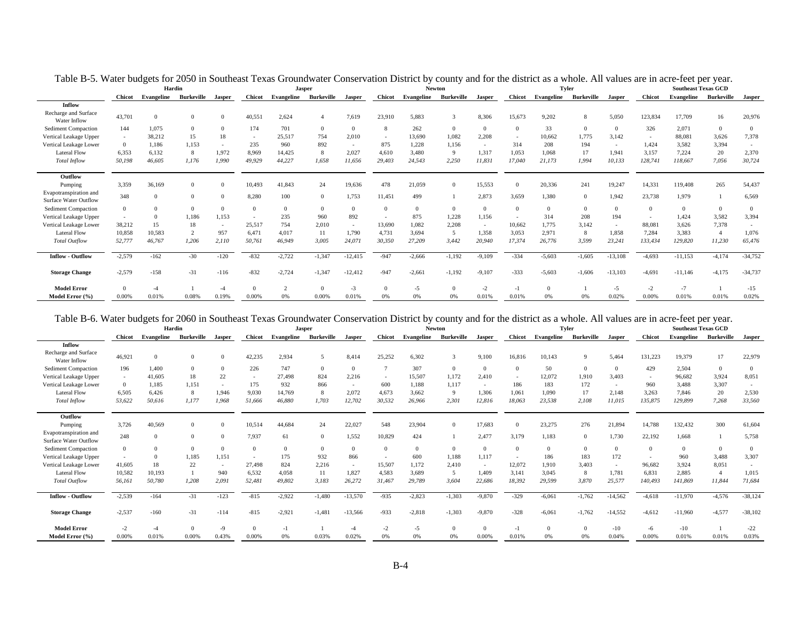|                                                        |                | Hardin     |                   |               |               | <b>Jasper</b> |                   |               |               |            | <b>Newton</b> |               |               |            | Tyler             |           |               | <b>Southeast Texas GCD</b> |                   |           |
|--------------------------------------------------------|----------------|------------|-------------------|---------------|---------------|---------------|-------------------|---------------|---------------|------------|---------------|---------------|---------------|------------|-------------------|-----------|---------------|----------------------------|-------------------|-----------|
|                                                        | <b>Chicot</b>  | Evangeline | <b>Burkeville</b> | <b>Jasper</b> | <b>Chicot</b> | Evangeline    | <b>Burkeville</b> | <b>Jasper</b> | <b>Chicot</b> | Evangeline | Burkeville    | <b>Jasper</b> | <b>Chicot</b> | Evangeline | <b>Burkeville</b> | Jasper    | <b>Chicot</b> | <b>Evangeline</b>          | <b>Burkeville</b> | Jasper    |
| Inflow                                                 |                |            |                   |               |               |               |                   |               |               |            |               |               |               |            |                   |           |               |                            |                   |           |
| Recharge and Surface<br>Water Inflow                   | 43,701         |            | $\Omega$          |               | 40,551        | 2.624         |                   | 7,619         | 23,910        | 5.883      |               | 8,306         | 15,673        | 9,202      | 8                 | 5,050     | 123,834       | 17,709                     | 16                | 20,976    |
| <b>Sediment Compaction</b>                             | 144            | 1,075      | $\Omega$          |               | 174           | 701           | $\Omega$          | $\mathbf{0}$  | 8             | 262        | $\Omega$      |               |               | 33         | $\mathbf{0}$      |           | 326           | 2,071                      | $\overline{0}$    |           |
| Vertical Leakage Upper                                 | $\sim$         | 38,212     | 15                | 18            | $\sim$        | 25.517        | 754               | 2,010         | $\sim$        | 13.690     | 1,082         | 2,208         | $\sim$        | 10,662     | 1,775             | 3,142     | $\sim$        | 88,081                     | 3,626             | 7,378     |
| Vertical Leakage Lower                                 | $\overline{0}$ | 1,186      | 1,153             |               | 235           | 960           | 892               | $\sim$        | 875           | 1,228      | 1,156         | $\sim$        | 314           | 208        | 194               | $\sim$    | 1.424         | 3,582                      | 3,394             |           |
| <b>Lateral Flow</b>                                    | 6,353          | 6,132      | 8                 | 1,972         | 8,969         | 14,425        | 8                 | 2,027         | 4,610         | 3.480      | 9             | 1,317         | 1,053         | 1,068      | 17                | 1,941     | 3,157         | 7,224                      | 20                | 2,370     |
| <b>Total Inflow</b>                                    | 50,198         | 46,605     | 1.176             | 1.990         | 49,929        | 44,227        | 1.658             | 11,656        | 29.403        | 24.543     | 2,250         | 11,831        | 17.040        | 21,173     | 1,994             | 10,133    | 128.741       | 118.667                    | 7,056             | 30,724    |
| Outflow                                                |                |            |                   |               |               |               |                   |               |               |            |               |               |               |            |                   |           |               |                            |                   |           |
| Pumping                                                | 3,359          | 36,169     | $\Omega$          | $\Omega$      | 10,493        | 41,843        | 24                | 19,636        | 478           | 21,059     | $\Omega$      | 15,553        | $\Omega$      | 20,336     | 241               | 19,247    | 14,331        | 119,408                    | 265               | 54,437    |
| Evapotranspiration and<br><b>Surface Water Outflow</b> | 348            |            | $\Omega$          | $\Omega$      | 8,280         | 100           | $\Omega$          | 1,753         | 11,451        | 499        |               | 2,873         | 3.659         | 1,380      | $\overline{0}$    | 1,942     | 23,738        | 1,979                      |                   | 6,569     |
| <b>Sediment Compaction</b>                             | $\overline{0}$ |            | $\Omega$          |               | $\Omega$      | $\Omega$      |                   | $\mathbf{0}$  | $\Omega$      |            | $\Omega$      | $\Omega$      |               | $\Omega$   | $\mathbf{0}$      | $\Omega$  | $\Omega$      | $\Omega$                   | $\theta$          | $\Omega$  |
| Vertical Leakage Upper                                 |                |            | 1.186             | 1,153         |               | 235           | 960               | 892           |               | 875        | 1.228         | 1,156         |               | 314        | 208               | 194       |               | 1.424                      | 3,582             | 3,394     |
| Vertical Leakage Lower                                 | 38.212         | 15         | 18                |               | 25,517        | 754           | 2.010             | $\sim$        | 13.690        | 1.082      | 2.208         | $\sim$        | 10.662        | 1.775      | 3.142             | $\sim$    | 88,081        | 3.626                      | 7.378             |           |
| <b>Lateral Flow</b>                                    | 10,858         | 10,583     |                   | 957           | 6,471         | 4.017         | 11                | 1,790         | 4,731         | 3.694      |               | 1,358         | 3.053         | 2,971      | 8                 | 1,858     | 7.284         | 3,383                      | $\overline{4}$    | 1,076     |
| <b>Total Outflow</b>                                   | 52,777         | 46,767     | 1,206             | 2,110         | 50,761        | 46,949        | 3.005             | 24,071        | 30,350        | 27,209     | 3,442         | 20,940        | 17,374        | 26,776     | 3,599             | 23,241    | 133,434       | 129,820                    | 11,230            | 65,476    |
| <b>Inflow - Outflow</b>                                | $-2,579$       | $-162$     | $-30$             | $-120$        | $-832$        | $-2,722$      | $-1,347$          | $-12,415$     | $-947$        | $-2,666$   | $-1,192$      | $-9,109$      | $-334$        | $-5,603$   | $-1,605$          | $-13,108$ | $-4,693$      | $-11,153$                  | $-4,174$          | $-34,752$ |
| <b>Storage Change</b>                                  | $-2,579$       | $-158$     | $-31$             | $-116$        | $-832$        | $-2,724$      | $-1.347$          | $-12,412$     | $-947$        | $-2.661$   | $-1,192$      | $-9,107$      | $-333$        | $-5.603$   | $-1,606$          | $-13,103$ | $-4.691$      | $-11,146$                  | $-4,175$          | $-34,737$ |
| <b>Model Error</b>                                     | $\Omega$       |            |                   |               | $\Omega$      | $\sim$        |                   | $-3$          |               | -5         |               | $-2$          |               |            |                   | $-5$      | $-2$          | $-7$                       |                   | $-15$     |
| Model Error (%)                                        | 0.00%          | 0.01%      | 0.08%             | 0.19%         | 0.00%         | 0%            | 0.00%             | 0.01%         | 0%            | 0%         | 0%            | 0.01%         | 0.01%         | 0%         | 0%                | 0.02%     | 0.00%         | 0.01%                      | 0.01%             | 0.02%     |

Table B-5. Water budgets for 2050 in Southeast Texas Groundwater Conservation District by county and for the district as a whole. All values are in acre-feet per year.

#### Table B-6. Water budgets for 2060 in Southeast Texas Groundwater Conservation District by county and for the district as a whole. All values are in acre-feet per year.

|                                                        |               | Hardin     |                   |               |                | <b>Jasper</b> |            |               |               |            | <b>Newton</b> |               |               |            | <b>Tyler</b>      |                |               | <b>Southeast Texas GCD</b> |                   |               |
|--------------------------------------------------------|---------------|------------|-------------------|---------------|----------------|---------------|------------|---------------|---------------|------------|---------------|---------------|---------------|------------|-------------------|----------------|---------------|----------------------------|-------------------|---------------|
|                                                        | <b>Chicot</b> | Evangeline | <b>Burkeville</b> | <b>Jasper</b> | <b>Chicot</b>  | Evangeline    | Burkeville | <b>Jasper</b> | <b>Chicot</b> | Evangeline | Burkeville    | <b>Jasper</b> | <b>Chicot</b> | Evangeline | <b>Burkeville</b> | <b>Jasper</b>  | <b>Chicot</b> | Evangeline                 | <b>Burkeville</b> | <b>Jasper</b> |
| <b>Inflow</b>                                          |               |            |                   |               |                |               |            |               |               |            |               |               |               |            |                   |                |               |                            |                   |               |
| Recharge and Surface<br>Water Inflow                   | 46,921        | $\Omega$   |                   |               | 42,235         | 2,934         | 5          | 8,414         | 25.252        | 6.302      |               | 9,100         | 16,816        | 10,143     | 9                 | 5.464          | 131,223       | 19,379                     | 17                | 22,979        |
| <b>Sediment Compaction</b>                             | 196           | 1,400      |                   |               | 226            | 747           |            | $\Omega$      |               | 307        | $\Omega$      | $\Omega$      |               | 50         | $\overline{0}$    | $\Omega$       | 429           | 2,504                      | $\overline{0}$    |               |
| Vertical Leakage Upper                                 | $\sim$        | 41,605     | 18                | 22            | $\sim$         | 27.498        | 824        | 2,216         | $\sim$        | 15,507     | 1,172         | 2,410         |               | 12,072     | 1,910             | 3.403          | $\sim$        | 96,682                     | 3,924             | 8,051         |
| Vertical Leakage Lower                                 | $^{\circ}$    | 1,185      | 1.151             |               | 175            | 932           | 866        |               | 600           | 1.188      | 1.117         | $\sim$        | 186           | 183        | 172               | $\overline{a}$ | 960           | 3.488                      | 3,307             |               |
| <b>Lateral Flow</b>                                    | 6.505         | 6,426      | 8                 | 1.946         | 9,030          | 14.769        | 8          | 2,072         | 4.673         | 3.662      | $\Omega$      | 1,306         | 1.061         | 1.090      | 17                | 2.148          | 3.263         | 7.846                      | 20                | 2,530         |
| <b>Total Inflow</b>                                    | 53,622        | 50,616     | 1,177             | 1.968         | 51,666         | 46,880        | 1.703      | 12,702        | 30,532        | 26.966     | 2,301         | 12,816        | 18,063        | 23,538     | 2,108             | 11,015         | 135,875       | 129,899                    | 7,268             | 33,560        |
| Outflow                                                |               |            |                   |               |                |               |            |               |               |            |               |               |               |            |                   |                |               |                            |                   |               |
| Pumping                                                | 3,726         | 40,569     | $\Omega$          | $\Omega$      | 10,514         | 44,684        | 24         | 22,027        | 548           | 23.904     | $\Omega$      | 17,683        |               | 23,275     | 276               | 21,894         | 14,788        | 132,432                    | 300               | 61,604        |
| Evapotranspiration and<br><b>Surface Water Outflow</b> | 248           | $\Omega$   | $\Omega$          | $\Omega$      | 7,937          | 61            | $\Omega$   | 1,552         | 10,829        | 424        |               | 2.477         | 3.179         | 1.183      | $\overline{0}$    | 1,730          | 22,192        | 1.668                      |                   | 5,758         |
| <b>Sediment Compaction</b>                             |               |            |                   |               | $\overline{0}$ |               |            | $\Omega$      | $\Omega$      |            | $\Omega$      | $\Omega$      |               | $\Omega$   | $\Omega$          | $\Omega$       |               |                            | $\Omega$          | $\Omega$      |
| Vertical Leakage Upper                                 |               |            | 1,185             | 1,151         |                | 175           | 932        | 866           |               | 600        | 1,188         | 1,117         |               | 186        | 183               | 172            |               | 960                        | 3,488             | 3,307         |
| Vertical Leakage Lower                                 | 41,605        | 18         | 22                | $\sim$        | 27,498         | 824           | 2,216      | $\sim$        | 15,507        | 1.172      | 2,410         | $\sim$        | 12,072        | 1,910      | 3,403             | $\overline{a}$ | 96,682        | 3.924                      | 8,051             |               |
| <b>Lateral Flow</b>                                    | 10.582        | 10,193     |                   | 940           | 6,532          | 4.058         | 11         | 1,827         | 4,583         | 3.689      | .5.           | 1,409         | 3.141         | 3.045      | 8                 | 1,781          | 6,831         | 2,885                      | $\overline{4}$    | 1,015         |
| Total Outflow                                          | 56,161        | 50,780     | 1,208             | 2,091         | 52,481         | 49,802        | 3,183      | 26,272        | 31,467        | 29,789     | 3,604         | 22,686        | 18,392        | 29,599     | 3,870             | 25,577         | 140,493       | 141,869                    | 11,844            | 71,684        |
| <b>Inflow - Outflow</b>                                | $-2,539$      | $-164$     | $-31$             | $-123$        | $-815$         | $-2,922$      | $-1,480$   | $-13,570$     | $-935$        | $-2,823$   | $-1,303$      | $-9,870$      | $-329$        | $-6,061$   | $-1,762$          | $-14,562$      | $-4,618$      | $-11,970$                  | $-4,576$          | $-38,124$     |
| <b>Storage Change</b>                                  | $-2,537$      | $-160$     | $-31$             | $-114$        | $-815$         | $-2,921$      | $-1.481$   | $-13,566$     | $-933$        | $-2.818$   | $-1,303$      | $-9,870$      | $-328$        | $-6.061$   | $-1,762$          | $-14,552$      | $-4.612$      | $-11,960$                  | $-4,577$          | $-38,102$     |
| <b>Model Error</b>                                     | $-2$          |            |                   | $-9$          | $\Omega$       | -1            |            |               | $-2$          | $-5$       |               | $\Omega$      | $-1$          |            | $\Omega$          | $-10$          | -6            | $-10$                      |                   | $-22$         |
| Model Error (%)                                        | 0.00%         | 0.01%      | 0.00%             | 0.43%         | 0.00%          | 0%            | 0.03%      | 0.02%         | 0%            |            | 0%            | 0.00%         | 0.01%         | 0%         | 0%                | 0.04%          | 0.00%         | 0.01%                      | 0.01%             | 0.03%         |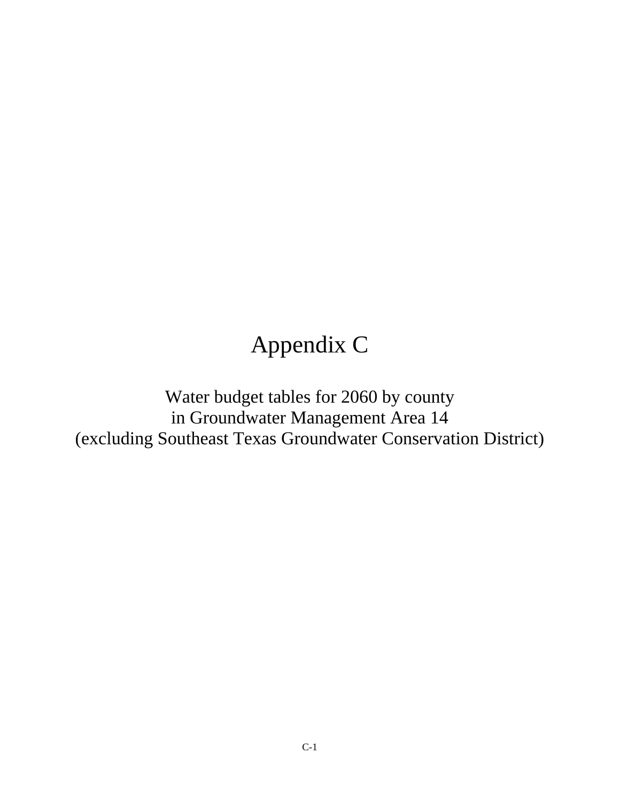# Appendix C

Water budget tables for 2060 by county in Groundwater Management Area 14 (excluding Southeast Texas Groundwater Conservation District)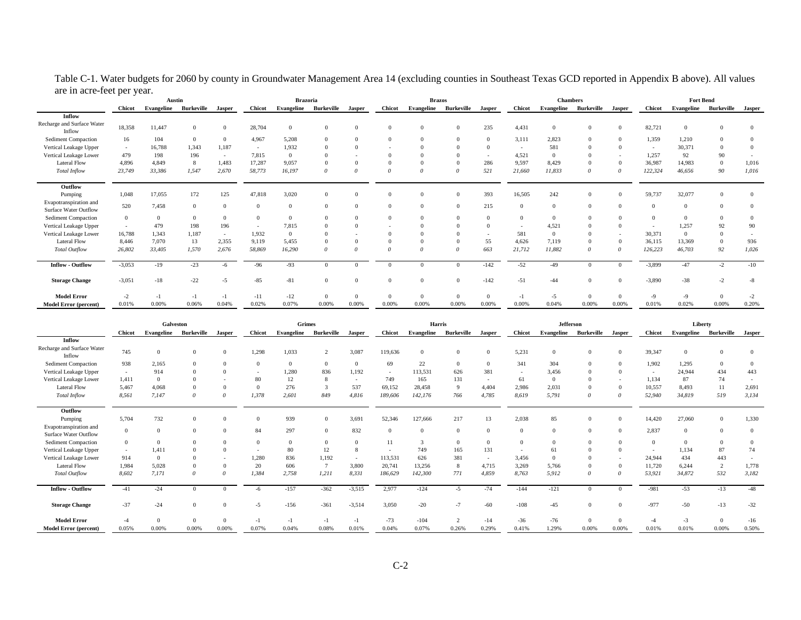|                            |  |  | Table C-1. Water budgets for 2060 by county in Groundwater Management Area 14 (excluding counties in Southeast Texas GCD reported in Appendix B above). All values |
|----------------------------|--|--|--------------------------------------------------------------------------------------------------------------------------------------------------------------------|
| are in acre-feet per year. |  |  |                                                                                                                                                                    |

|                                                 |               | Austin     |                   |                          |               | <b>Brazoria</b> |                       |        |               | <b>Brazos</b> |                       |                          |               | <b>Chambers</b> |            |          |               | <b>Fort Bend</b> |                   |          |
|-------------------------------------------------|---------------|------------|-------------------|--------------------------|---------------|-----------------|-----------------------|--------|---------------|---------------|-----------------------|--------------------------|---------------|-----------------|------------|----------|---------------|------------------|-------------------|----------|
|                                                 | <b>Chicot</b> | Evangeline | <b>Burkeville</b> | Jasper                   | <b>Chicot</b> |                 | Evangeline Burkeville | Jasper | <b>Chicot</b> |               | Evangeline Burkeville | <b>Jasper</b>            | <b>Chicot</b> | Evangeline      | Burkeville | Jasper   | <b>Chicot</b> | Evangeline       | <b>Burkeville</b> | Jasper   |
| Inflow                                          |               |            |                   |                          |               |                 |                       |        |               |               |                       |                          |               |                 |            |          |               |                  |                   |          |
| Recharge and Surface Water<br>Inflow            | 18,358        | 11,447     | $\mathbf{0}$      |                          | 28,704        | $\theta$        |                       |        |               |               |                       | 235                      | 4,431         | $\Omega$        |            | $\Omega$ | 82,721        |                  | $\Omega$          | $\Omega$ |
| Sediment Compaction                             | 16            | 104        | $\overline{0}$    |                          | 4,967         | 5,208           |                       |        |               |               |                       | $\Omega$                 | 3.111         | 2.823           |            |          | 1.359         | 1.210            | $\Omega$          |          |
| Vertical Leakage Upper                          | $\sim$        | 16,788     | 1,343             | 1,187                    | $\sim$        | 1,932           |                       |        |               |               |                       | $\Omega$                 | $\sim$        | 581             |            |          |               | 30,371           | $\Omega$          |          |
| Vertical Leakage Lower                          | 479           | 198        | 196               | $\overline{\phantom{a}}$ | 7.815         | $\overline{0}$  |                       |        |               |               |                       | $\overline{\phantom{a}}$ | 4.521         |                 |            |          | 1.257         | 92               | 90                |          |
| <b>Lateral Flow</b>                             | 4.896         | 4.849      | 8                 | 1.483                    | 17,287        | 9,057           |                       |        |               |               |                       | 286                      | 9,597         | 8.429           |            | $\Omega$ | 36,987        | 14.983           | $\mathbf{0}$      | 1,016    |
| Total Inflow                                    | 23,749        | 33,386     | 1,547             | 2,670                    | 58,773        | 16,197          | $\theta$              |        | $\theta$      | $\Omega$      | $\Omega$              | 521                      | 21,660        | 11.833          |            | $\theta$ | 122,324       | 46.656           | 90                | 1,016    |
| Outflow                                         |               |            |                   |                          |               |                 |                       |        |               |               |                       |                          |               |                 |            |          |               |                  |                   |          |
| Pumping                                         | 1,048         | 17,055     | 172               | 125                      | 47,818        | 3,020           | $\Omega$              |        | $\Omega$      | $\Omega$      | $\Omega$              | 393                      | 16,505        | 242             |            | $\Omega$ | 59,737        | 32,077           | $\mathbf{0}$      | $\Omega$ |
| Evapotranspiration and<br>Surface Water Outflow | 520           | 7,458      | $\overline{0}$    |                          |               | $\Omega$        | $\Omega$              |        | $\Omega$      | $\Omega$      |                       | 215                      |               | $\Omega$        |            | $\Omega$ | $\Omega$      |                  | $\Omega$          | $\Omega$ |
| Sediment Compaction                             | $\Omega$      | $\Omega$   | $\overline{0}$    |                          |               | $\Omega$        |                       |        | $\Omega$      |               |                       | $\Omega$                 | $\Omega$      | $\Omega$        |            |          | $\Omega$      |                  | $\Omega$          |          |
| Vertical Leakage Upper                          |               | 479        | 198               | 196                      | $\sim$        | 7,815           |                       |        |               |               |                       | $\Omega$                 |               | 4.521           |            |          |               | 1,257            | 92                | 90       |
| Vertical Leakage Lower                          | 16.788        | 1,343      | 1,187             | $\sim$                   | 1,932         | $\overline{0}$  |                       |        |               |               |                       |                          | 581           |                 |            | $\sim$   | 30,371        |                  | $\Omega$          |          |
| <b>Lateral Flow</b>                             | 8.446         | 7.070      | 13                | 2,355                    | 9,119         | 5,455           |                       |        |               |               |                       | 55                       | 4,626         | 7.119           |            | $\Omega$ | 36,115        | 13,369           | $\Omega$          | 936      |
| <b>Total Outflow</b>                            | 26,802        | 33,405     | 1,570             | 2,676                    | 58,869        | 16,290          | $\Omega$              |        | $\theta$      | $\Omega$      | $\Omega$              | 663                      | 21,712        | 11,882          |            | $\theta$ | 126,223       | 46,703           | 92                | 1,026    |
| <b>Inflow - Outflow</b>                         | $-3,053$      | $-19$      | $-23$             | -6                       | $-96$         | $-93$           |                       |        | $\Omega$      | $\Omega$      |                       | $-142$                   | $-52$         | $-49$           |            |          | $-3,899$      | $-47$            | $-2$              | $-10$    |
| <b>Storage Change</b>                           | $-3,051$      | $-18$      | $-22$             | $-5$                     | $-85$         | $-81$           |                       |        |               |               |                       | $-142$                   | $-51$         | $-44$           |            |          | $-3,890$      | $-38$            | $-2$              | $-8$     |
| <b>Model Error</b>                              | $-2$          |            | $-1$              |                          | $-11$         | $-12$           |                       |        | $\Omega$      |               |                       | $\Omega$                 | $-1$          | $-5$            |            | $\Omega$ | $-9$          |                  | $\Omega$          |          |
| <b>Model Error</b> (percent)                    | 0.01%         | 0.00%      | 0.06%             | 0.04%                    | 0.02%         | 0.07%           | 0.00%                 | 0.00%  | 0.00%         | 0.00%         | 0.00%                 | 0.00%                    | 0.00%         | 0.04%           | 0.00%      | 0.00%    | 0.01%         | 0.02%            | 0.00%             | 0.20%    |

|                                                 | Galveston     |              |                   |          | Grimes        |            |            |               | Harris         |              |              |                | <b>Jefferson</b> |                   |            |          | Liberty       |            |                |          |
|-------------------------------------------------|---------------|--------------|-------------------|----------|---------------|------------|------------|---------------|----------------|--------------|--------------|----------------|------------------|-------------------|------------|----------|---------------|------------|----------------|----------|
|                                                 | <b>Chicot</b> | Evangeline   | <b>Burkeville</b> | Jasper   | <b>Chicot</b> | Evangeline | Burkeville | <b>Jasper</b> | <b>Chicot</b>  | Evangeline   | Burkeville   | Jasper         | <b>Chicot</b>    | <b>Evangeline</b> | Burkeville | Jasper   | <b>Chicot</b> | Evangeline | Burkeville     | Jasper   |
| Inflow                                          |               |              |                   |          |               |            |            |               |                |              |              |                |                  |                   |            |          |               |            |                |          |
| Recharge and Surface Water<br>Inflow            | 745           | $\mathbf{0}$ |                   |          | 1,298         | 1,033      |            | 3,087         | 119,636        |              | $\Omega$     | $\overline{0}$ | 5,231            |                   |            | $\Omega$ | 39,347        |            |                |          |
| Sediment Compaction                             | 938           | 2,165        |                   |          | $\Omega$      | $\Omega$   |            |               | 69             | 22           | $\Omega$     | $\Omega$       | 341              | 304               |            | $\Omega$ | 1.902         | 1.295      |                |          |
| Vertical Leakage Upper                          | $\sim$        | 914          |                   |          | $\sim$        | 1,280      | 836        | 1,192         | $\sim$         | 113,531      | 626          | 381            | $\sim$           | 3.456             |            | $\Omega$ |               | 24.944     | 434            | 443      |
| Vertical Leakage Lower                          | 1,411         | $\theta$     |                   |          | 80            | 12         |            | $\sim$        | 749            | 165          | 131          | $\sim$         | 61               | $\Omega$          |            | $\sim$   | 1,134         | 87         | 74             |          |
| <b>Lateral Flow</b>                             | 5,467         | 4,068        |                   |          | $\Omega$      | 276        |            | 537           | 69,152         | 28,458       | $\mathbf{q}$ | 4,404          | 2,986            | 2,031             |            | $\Omega$ | 10,557        | 8.493      | 11             | 2,691    |
| <b>Total Inflow</b>                             | 8,561         | 7,147        | $\theta$          |          | 1,378         | 2,601      | 849        | 4,816         | 189,606        | 142,176      | 766          | 4,785          | 8,619            | 5,791             |            | $\theta$ | 52,940        | 34,819     | 519            | 3,134    |
| Outflow                                         |               |              |                   |          |               |            |            |               |                |              |              |                |                  |                   |            |          |               |            |                |          |
| Pumping                                         | 5,704         | 732          | $\Omega$          |          | $\Omega$      | 939        |            | 3,691         | 52,346         | 127,666      | 217          | 13             | 2,038            | 85                | $\Omega$   | $\Omega$ | 14,420        | 27,060     | $\Omega$       | 1,330    |
| Evapotranspiration and<br>Surface Water Outflow | $\Omega$      | $\Omega$     | $\Omega$          |          | 84            | 297        |            | 832           | $\overline{0}$ | $\Omega$     | $\Omega$     | $\Omega$       | $\Omega$         | $\Omega$          | $\Omega$   | $\Omega$ | 2,837         |            | $\Omega$       | $\Omega$ |
| Sediment Compaction                             | $\Omega$      | $\Omega$     |                   |          | $\Omega$      | $\Omega$   |            |               | 11             | $\mathbf{3}$ |              | $\Omega$       | $\Omega$         |                   |            | $\Omega$ | $\Omega$      |            | $\Omega$       |          |
| Vertical Leakage Upper                          | $\sim$        | 1,411        |                   |          |               | 80         | 12         |               |                | 749          | 165          | 131            |                  | 61                |            |          |               | 1,134      | 87             | 74       |
| Vertical Leakage Lower                          | 914           | $\Omega$     |                   |          | 1,280         | 836        | 1,192      |               | 113,531        | 626          | 381          | $\sim$         | 3,456            |                   |            |          | 24,944        | 434        | 443            |          |
| <b>Lateral Flow</b>                             | 1.984         | 5,028        |                   |          | 20            | 606        |            | 3.800         | 20,741         | 13,256       | 8            | 4,715          | 3,269            | 5.766             |            | $\Omega$ | 11,720        | 6.244      | $\overline{2}$ | 1,778    |
| <b>Total Outflow</b>                            | 8,602         | 7,171        | $\theta$          | $\Omega$ | 1,384         | 2,758      | 1,211      | 8,331         | 186,629        | 142,300      | 771          | 4,859          | 8,763            | 5,912             | $\Omega$   | $\theta$ | 53,921        | 34,872     | 532            | 3,182    |
| <b>Inflow - Outflow</b>                         | $-41$         | $-24$        |                   |          | $-6$          | $-157$     | $-362$     | $-3,515$      | 2,977          | $-124$       | -5           | $-74$          | $-144$           | $-121$            |            | $\Omega$ | $-981$        | $-53$      | $-13$          | $-48$    |
| <b>Storage Change</b>                           | $-37$         | $-24$        |                   |          | $-5$          | $-156$     | $-361$     | $-3,514$      | 3,050          | $-20$        | $-7$         | $-60$          | $-108$           | $-45$             |            | $\Omega$ | $-977$        | $-50$      | $-13$          | $-32$    |
| <b>Model Error</b>                              | -4            | $\Omega$     | $\Omega$          |          | $-1$          | $-1$       |            |               | $-73$          | $-104$       | $\Omega$     | $-14$          | $-36$            | $-76$             | $\Omega$   | $\Omega$ |               | $-3$       |                | $-16$    |
| <b>Model Error</b> (percent)                    | 0.05%         | 0.00%        | 0.00%             | 0.00%    | 0.07%         | 0.04%      | 0.08%      | 0.01%         | 0.04%          | 0.07%        | 0.26%        | 0.29%          | 0.41%            | 1.29%             | 0.00%      | 0.00%    | 0.01%         | 0.01%      | 0.00%          | 0.50%    |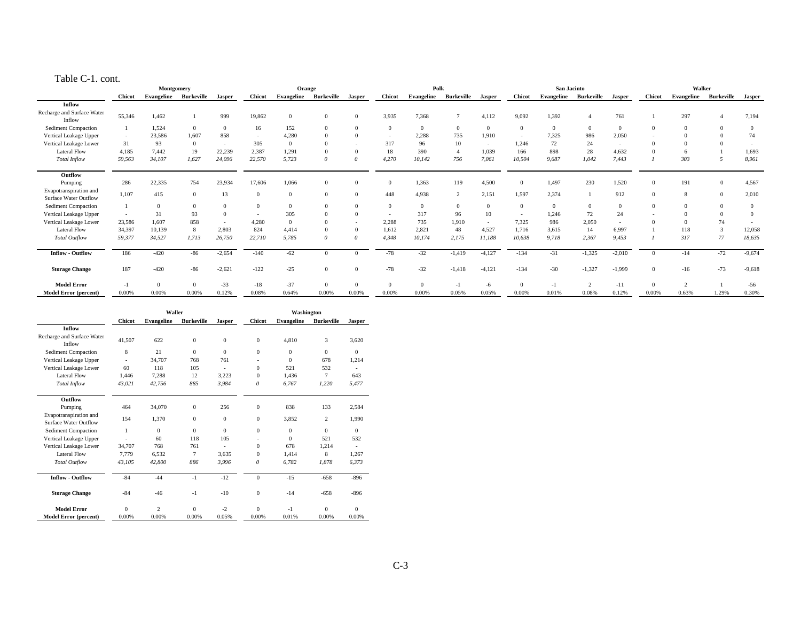#### Table C-1. cont.

|                                                 | Montgomery    |                |                |          | Orange        |          |                       |        | Polk           |          |                       |          | San Jacinto    |          |                       |          | Walker        |                       |              |          |
|-------------------------------------------------|---------------|----------------|----------------|----------|---------------|----------|-----------------------|--------|----------------|----------|-----------------------|----------|----------------|----------|-----------------------|----------|---------------|-----------------------|--------------|----------|
|                                                 | <b>Chicot</b> | Evangeline     | Burkeville     | Jasper   | <b>Chicot</b> |          | Evangeline Burkeville | Jasper | <b>Chicot</b>  |          | Evangeline Burkeville | Jasper   | <b>Chicot</b>  |          | Evangeline Burkeville | Jasper   | <b>Chicot</b> | Evangeline            | Burkeville   | Jasper   |
| Inflow                                          |               |                |                |          |               |          |                       |        |                |          |                       |          |                |          |                       |          |               |                       |              |          |
| Recharge and Surface Water<br>Inflow            | 55,346        | 1.462          |                | 999      | 19,862        | $\Omega$ | $\Omega$              |        | 3,935          | 7.368    |                       | 4,112    | 9.092          | 1.392    |                       | 761      |               | 297                   |              | 7,194    |
| Sediment Compaction                             |               | 1,524          | $\overline{0}$ | $\Omega$ | 16            | 152      |                       |        | $\Omega$       | $\Omega$ | $\Omega$              | $\Omega$ | $\Omega$       | $\Omega$ | $\Omega$              | $\Omega$ |               |                       | $\Omega$     |          |
| Vertical Leakage Upper                          | $\sim$        | 23,586         | 1,607          | 858      | $\sim$        | 4,280    |                       |        | $\sim$         | 2,288    | 735                   | 1,910    | $\sim$         | 7,325    | 986                   | 2,050    |               |                       |              | 74       |
| Vertical Leakage Lower                          | 31            | 93             | $\overline{0}$ |          | 305           | $\Omega$ |                       |        | 317            | 96       | 10                    | $\sim$   | 1,246          | 72       | 24                    | $\sim$   |               |                       |              |          |
| <b>Lateral Flow</b>                             | 4.185         | 7,442          | 19             | 22,239   | 2,387         | 1,291    |                       |        | 18             | 390      |                       | 1,039    | 166            | 898      | 28                    | 4.632    |               |                       |              | 1,693    |
| <b>Total Inflow</b>                             | 59,563        | 34,107         | 1,627          | 24,096   | 22,570        | 5,723    | $\Omega$              |        | 4,270          | 10,142   | 756                   | 7,061    | 10,504         | 9.687    | 1,042                 | 7,443    |               | 303                   |              | 8,961    |
| Outflow                                         |               |                |                |          |               |          |                       |        |                |          |                       |          |                |          |                       |          |               |                       |              |          |
| Pumping                                         | 286           | 22,335         | 754            | 23,934   | 17,606        | 1,066    | $\Omega$              |        | $\overline{0}$ | 1,363    | 119                   | 4,500    | $\overline{0}$ | 1,497    | 230                   | 1,520    |               | 191                   | $\mathbf{0}$ | 4,567    |
| Evapotranspiration and<br>Surface Water Outflow | 1.107         | 415            | $\Omega$       | 13       | $\Omega$      | $\Omega$ | $\Omega$              |        | 448            | 4.938    | $\gamma$              | 2,151    | 1,597          | 2.374    |                       | 912      |               | $\mathbf{\mathsf{R}}$ | $\Omega$     | 2,010    |
| Sediment Compaction                             |               | $\overline{0}$ | $\Omega$       |          | $\Omega$      | $\Omega$ |                       |        | $\Omega$       |          |                       |          | $\overline{0}$ |          | $\Omega$              | $\Omega$ |               |                       |              |          |
| Vertical Leakage Upper                          |               | 31             | 93             |          |               | 305      |                       |        |                | 317      | 96                    | 10       |                | 1.246    | 72                    | 24       |               |                       |              |          |
| Vertical Leakage Lower                          | 23,586        | 1,607          | 858            |          | 4,280         | $\Omega$ |                       |        | 2,288          | 735      | 1,910                 | $\sim$   | 7,325          | 986      | 2,050                 |          |               |                       | 74           |          |
| <b>Lateral Flow</b>                             | 34,397        | 10,139         | 8              | 2.803    | 824           | 4.414    |                       |        | 1,612          | 2,821    | 48                    | 4,527    | 1,716          | 3.615    | 14                    | 6,997    |               | 118                   | 3            | 12,058   |
| <b>Total Outflow</b>                            | 59,377        | 34,527         | 1,713          | 26,750   | 22,710        | 5,785    | $\Omega$              |        | 4,348          | 10,174   | 2,175                 | 11,188   | 10,638         | 9.718    | 2,367                 | 9,453    |               | 317                   | 77           | 18,635   |
| <b>Inflow - Outflow</b>                         | 186           | $-420$         | -86            | $-2,654$ | $-140$        | $-62$    |                       |        | $-78$          | $-32$    | $-1,419$              | $-4,127$ | $-134$         | $-31$    | $-1,325$              | $-2,010$ |               | $-14$                 | $-72$        | $-9,674$ |
| <b>Storage Change</b>                           | 187           | $-420$         | $-86$          | $-2,621$ | $-122$        | $-25$    |                       |        | $-78$          | $-32$    | $-1,418$              | $-4,121$ | $-134$         | $-30$    | $-1,327$              | $-1,999$ |               | $-16$                 | $-73$        | $-9,618$ |
| <b>Model Error</b>                              | $-1$          | $\Omega$       | $\Omega$       | $-33$    | $-18$         | $-37$    |                       |        | $\Omega$       |          | $-1$                  | $-6$     |                | $-1$     |                       | $-11$    |               |                       |              | $-56$    |
| Model Error (percent)                           | 0.00%         | 0.00%          | 0.00%          | 0.12%    | 0.08%         | 0.64%    | 0.00%                 | 0.00%  | 0.00%          | 0.00%    | 0.05%                 | 0.05%    | 0.00%          | 0.01%    | 0.08%                 | 0.12%    | 0.00%         | 0.63%                 | 1.29%        | 0.30%    |

|                                                 |               | Waller            |                   |                       |               | Washington        |                   |              |
|-------------------------------------------------|---------------|-------------------|-------------------|-----------------------|---------------|-------------------|-------------------|--------------|
|                                                 | <b>Chicot</b> | <b>Evangeline</b> | <b>Burkeville</b> | <b>Jasper</b>         | <b>Chicot</b> | <b>Evangeline</b> | <b>Burkeville</b> | Jasper       |
| <b>Inflow</b>                                   |               |                   |                   |                       |               |                   |                   |              |
| Recharge and Surface Water<br>Inflow            | 41.507        | 622               | $\mathbf{0}$      | $\mathbf{0}$          | $\mathbf{0}$  | 4.810             | 3                 | 3.620        |
| Sediment Compaction                             | 8             | 21                | $\Omega$          | $\Omega$              | $\Omega$      | $\Omega$          | $\Omega$          | $\Omega$     |
| Vertical Leakage Upper                          | ÷.            | 34,707            | 768               | 761                   | ٠             | $\Omega$          | 678               | 1,214        |
| Vertical Leakage Lower                          | 60            | 118               | 105               | ÷,                    | $\Omega$      | 521               | 532               |              |
| Lateral Flow                                    | 1.446         | 7.288             | 12                | 3,223                 | $\mathbf{0}$  | 1.436             | 7                 | 643          |
| Total Inflow                                    | 43.021        | 42,756            | 885               | 3,984                 | $\theta$      | 6.767             | 1.220             | 5.477        |
| Outflow                                         |               |                   |                   |                       |               |                   |                   |              |
| Pumping                                         | 464           | 34,070            | $\mathbf{0}$      | 256                   | $\mathbf{0}$  | 838               | 133               | 2.584        |
| Evapotranspiration and<br>Surface Water Outflow | 154           | 1,370             | $\mathbf{0}$      | $\mathbf{0}$          | $\mathbf{0}$  | 3.852             | 2                 | 1,990        |
| Sediment Compaction                             | 1             | $\Omega$          | $\Omega$          | $\Omega$              | $\Omega$      | $\Omega$          | $\Omega$          | $\Omega$     |
| Vertical Leakage Upper                          |               | 60                | 118               | 105                   |               | $\Omega$          | 521               | 532          |
| Vertical Leakage Lower                          | 34,707        | 768               | 761               | $\tilde{\phantom{a}}$ | $\Omega$      | 678               | 1.214             |              |
| Lateral Flow                                    | 7.779         | 6.532             | 7                 | 3.635                 | $\mathbf{0}$  | 1.414             | 8                 | 1.267        |
| <b>Total Outflow</b>                            | 43,105        | 42,800            | 886               | 3,996                 | $\theta$      | 6.782             | 1.878             | 6,373        |
| <b>Inflow - Outflow</b>                         | $-84$         | $-44$             | $-1$              | $-12$                 | $\mathbf{0}$  | $-15$             | $-658$            | $-896$       |
| <b>Storage Change</b>                           | $-84$         | $-46$             | $-1$              | $-10$                 | $\mathbf{0}$  | $-14$             | $-658$            | $-896$       |
| <b>Model Error</b>                              | $\Omega$      | $\overline{2}$    | $\Omega$          | $-2$                  | $\Omega$      | $-1$              | $\Omega$          | $\mathbf{0}$ |
| <b>Model Error (percent)</b>                    | 0.00%         | 0.00%             | 0.00%             | 0.05%                 | 0.00%         | 0.01%             | 0.00%             | 0.00%        |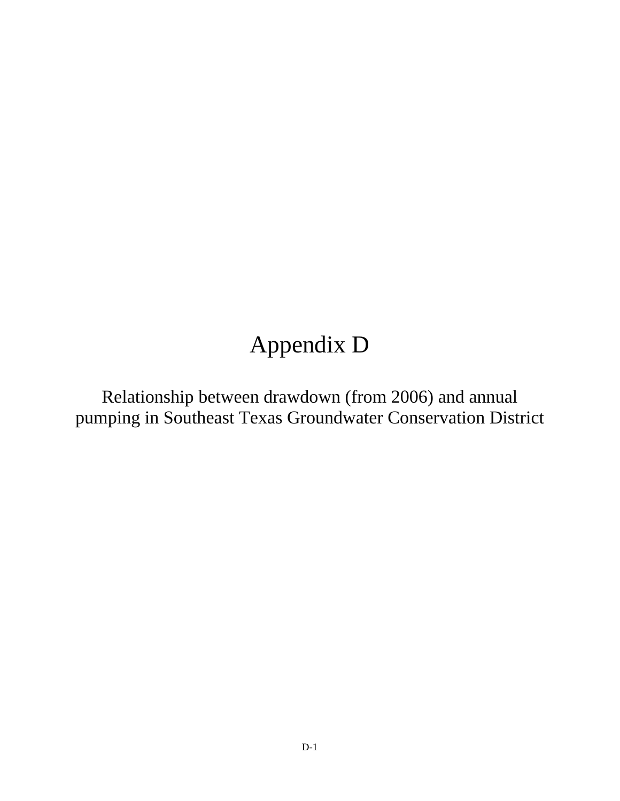## Appendix D

Relationship between drawdown (from 2006) and annual pumping in Southeast Texas Groundwater Conservation District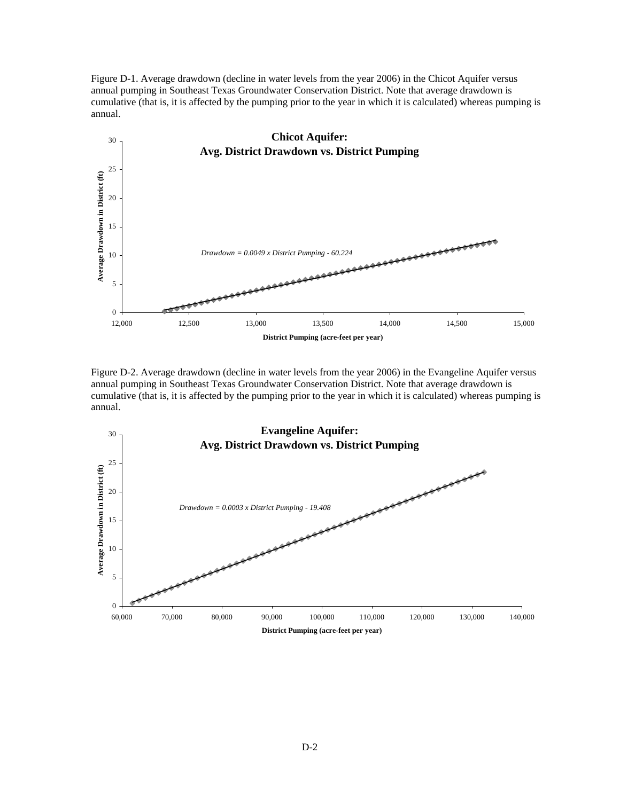Figure D-1. Average drawdown (decline in water levels from the year 2006) in the Chicot Aquifer versus annual pumping in Southeast Texas Groundwater Conservation District. Note that average drawdown is cumulative (that is, it is affected by the pumping prior to the year in which it is calculated) whereas pumping is annual.



Figure D-2. Average drawdown (decline in water levels from the year 2006) in the Evangeline Aquifer versus annual pumping in Southeast Texas Groundwater Conservation District. Note that average drawdown is cumulative (that is, it is affected by the pumping prior to the year in which it is calculated) whereas pumping is annual.